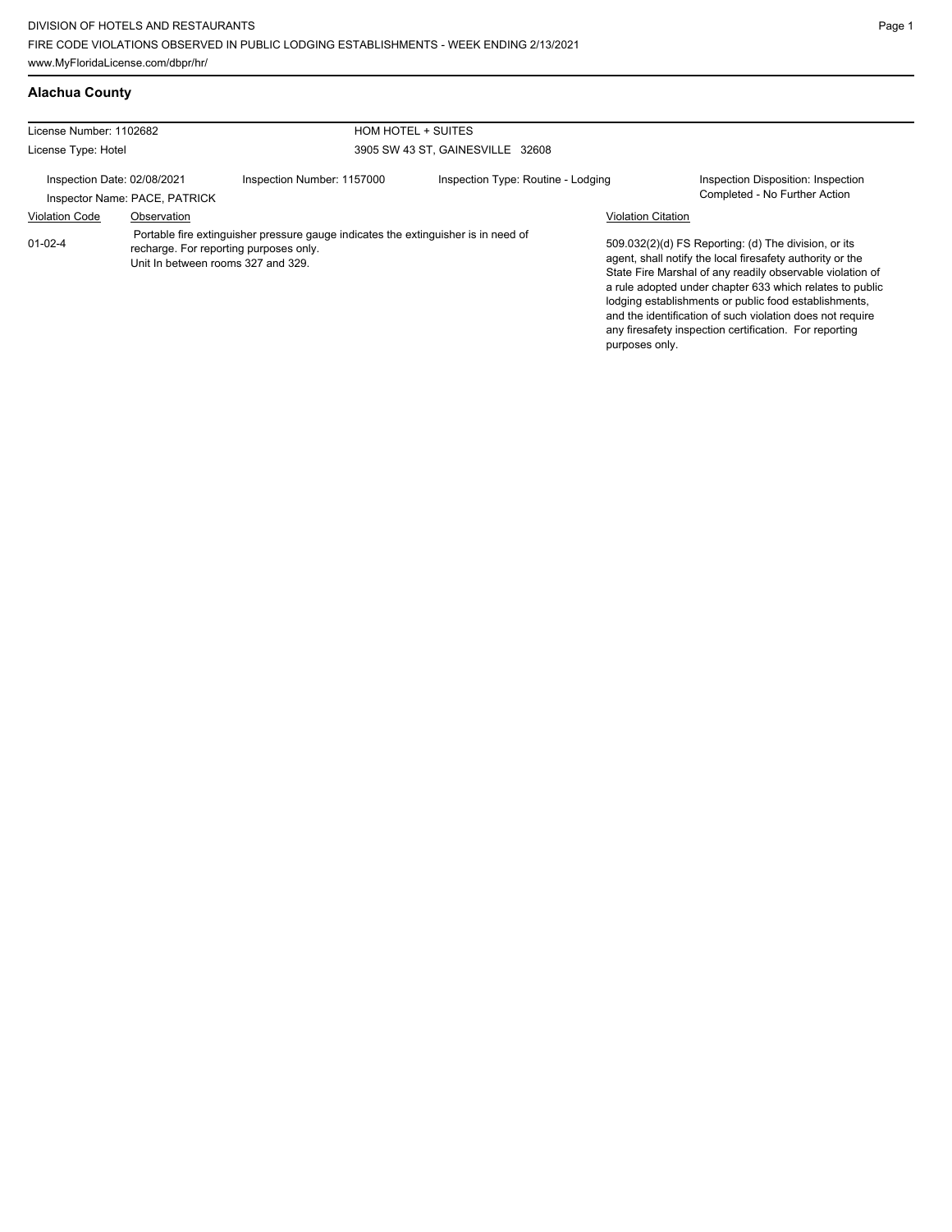## **Alachua County**

| License Number: 1102682     |                               | HOM HOTEL + SUITES                                                                                                                                                 |                                    |                           |                                                                                                                                                                                                                                                                                                                                                                                                                            |
|-----------------------------|-------------------------------|--------------------------------------------------------------------------------------------------------------------------------------------------------------------|------------------------------------|---------------------------|----------------------------------------------------------------------------------------------------------------------------------------------------------------------------------------------------------------------------------------------------------------------------------------------------------------------------------------------------------------------------------------------------------------------------|
| License Type: Hotel         |                               |                                                                                                                                                                    | 3905 SW 43 ST, GAINESVILLE 32608   |                           |                                                                                                                                                                                                                                                                                                                                                                                                                            |
| Inspection Date: 02/08/2021 | Inspector Name: PACE, PATRICK | Inspection Number: 1157000                                                                                                                                         | Inspection Type: Routine - Lodging |                           | Inspection Disposition: Inspection<br>Completed - No Further Action                                                                                                                                                                                                                                                                                                                                                        |
| <b>Violation Code</b>       | Observation                   |                                                                                                                                                                    |                                    | <b>Violation Citation</b> |                                                                                                                                                                                                                                                                                                                                                                                                                            |
| $01 - 02 - 4$               |                               | Portable fire extinguisher pressure gauge indicates the extinguisher is in need of<br>recharge. For reporting purposes only.<br>Unit In between rooms 327 and 329. |                                    | purposes only.            | 509.032(2)(d) FS Reporting: (d) The division, or its<br>agent, shall notify the local firesafety authority or the<br>State Fire Marshal of any readily observable violation of<br>a rule adopted under chapter 633 which relates to public<br>lodging establishments or public food establishments,<br>and the identification of such violation does not require<br>any firesafety inspection certification. For reporting |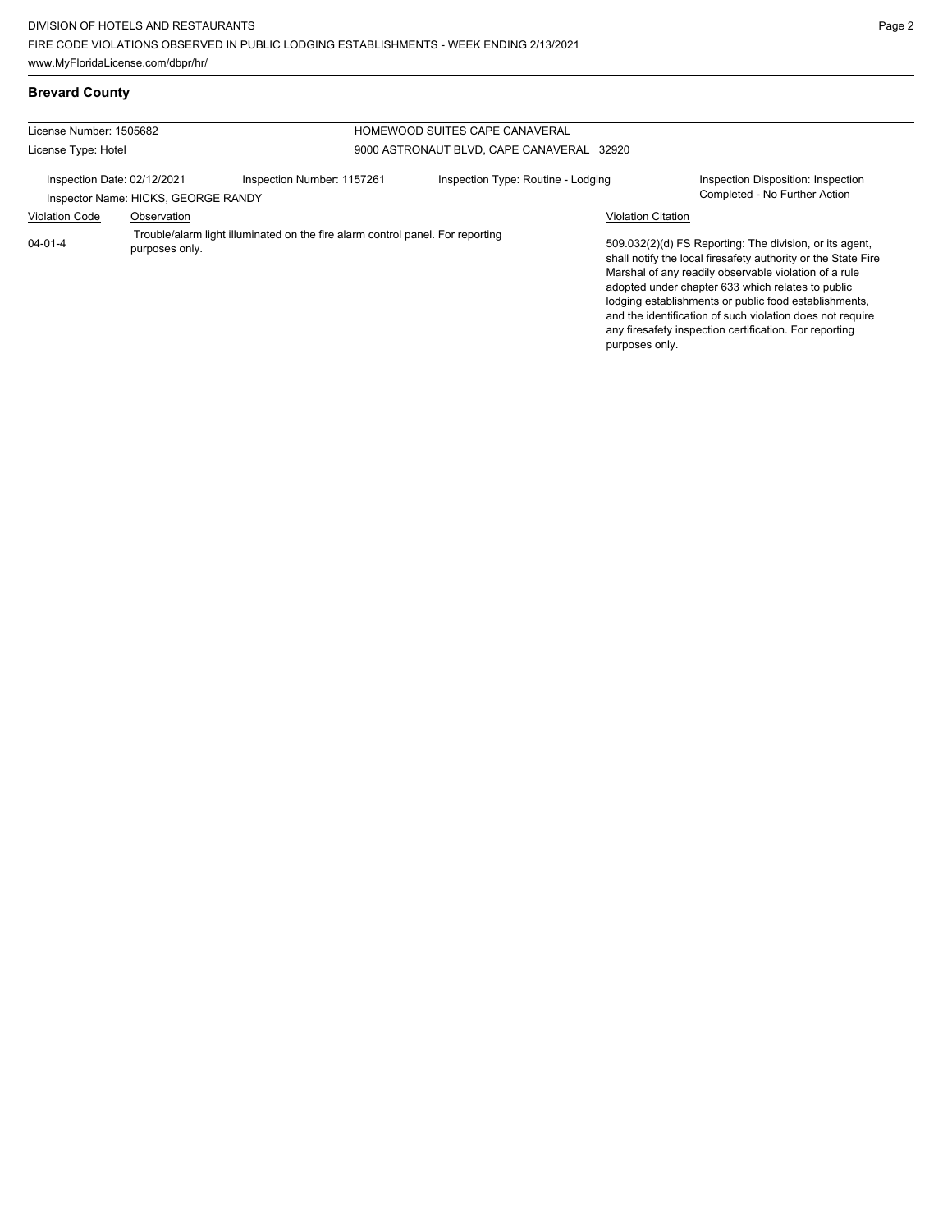# **Brevard County**

| License Number: 1505682     |                                     |                                                                                | HOMEWOOD SUITES CAPE CANAVERAL            |                           |                                                                                                                                                                                                                                                                                                                                                                                                                        |
|-----------------------------|-------------------------------------|--------------------------------------------------------------------------------|-------------------------------------------|---------------------------|------------------------------------------------------------------------------------------------------------------------------------------------------------------------------------------------------------------------------------------------------------------------------------------------------------------------------------------------------------------------------------------------------------------------|
| License Type: Hotel         |                                     |                                                                                | 9000 ASTRONAUT BLVD, CAPE CANAVERAL 32920 |                           |                                                                                                                                                                                                                                                                                                                                                                                                                        |
| Inspection Date: 02/12/2021 | Inspector Name: HICKS, GEORGE RANDY | Inspection Number: 1157261                                                     | Inspection Type: Routine - Lodging        |                           | Inspection Disposition: Inspection<br>Completed - No Further Action                                                                                                                                                                                                                                                                                                                                                    |
| <b>Violation Code</b>       | Observation                         |                                                                                |                                           | <b>Violation Citation</b> |                                                                                                                                                                                                                                                                                                                                                                                                                        |
| $04 - 01 - 4$               | purposes only.                      | Trouble/alarm light illuminated on the fire alarm control panel. For reporting |                                           | purposes only.            | 509.032(2)(d) FS Reporting: The division, or its agent,<br>shall notify the local firesafety authority or the State Fire<br>Marshal of any readily observable violation of a rule<br>adopted under chapter 633 which relates to public<br>lodging establishments or public food establishments,<br>and the identification of such violation does not require<br>any firesafety inspection certification. For reporting |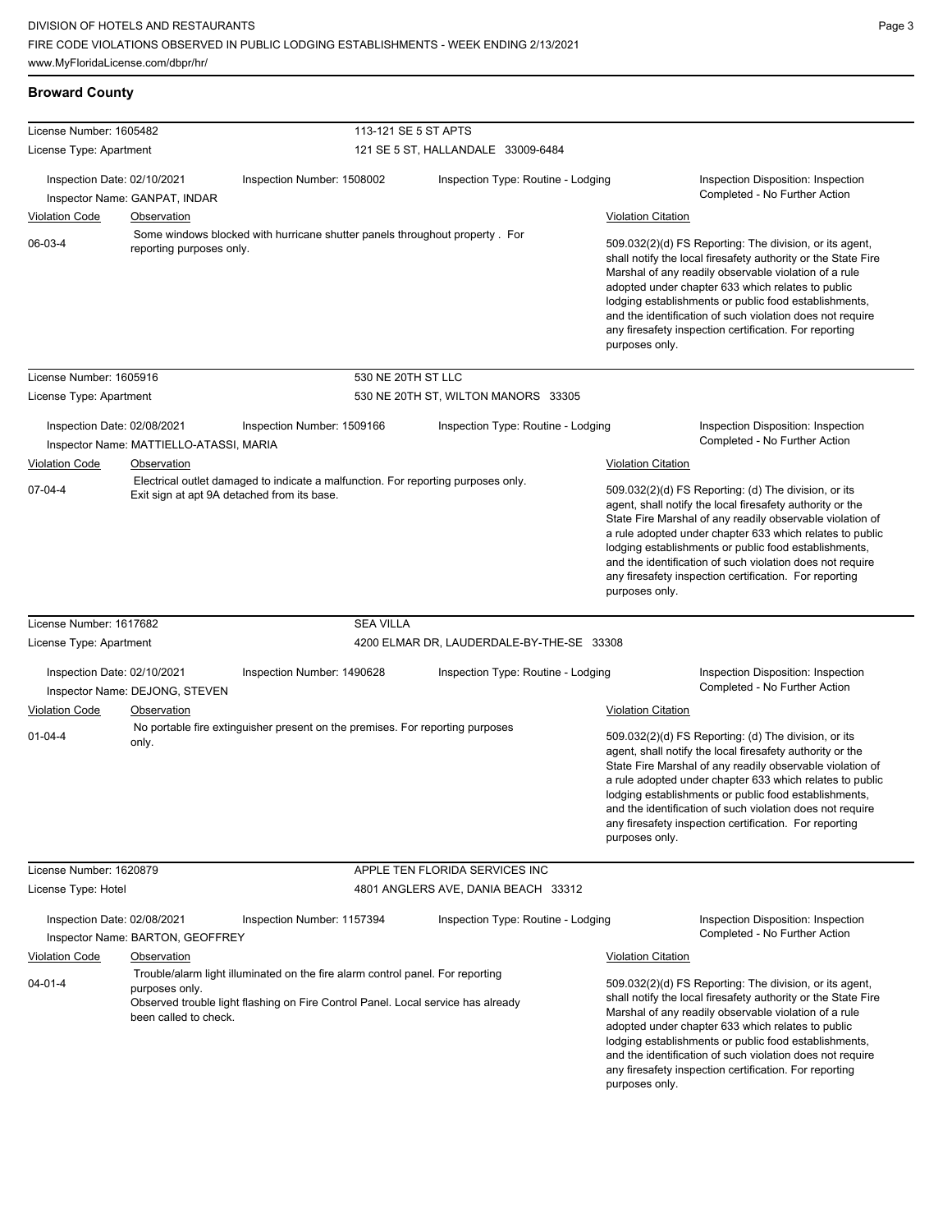## **Broward County**

| License Number: 1605482     |                                         | 113-121 SE 5 ST APTS                                                                                                                                               |                                           |                           |                                                                                                                                                                                                                                                                                                                                                                                                                            |
|-----------------------------|-----------------------------------------|--------------------------------------------------------------------------------------------------------------------------------------------------------------------|-------------------------------------------|---------------------------|----------------------------------------------------------------------------------------------------------------------------------------------------------------------------------------------------------------------------------------------------------------------------------------------------------------------------------------------------------------------------------------------------------------------------|
| License Type: Apartment     |                                         |                                                                                                                                                                    | 121 SE 5 ST, HALLANDALE 33009-6484        |                           |                                                                                                                                                                                                                                                                                                                                                                                                                            |
| Inspection Date: 02/10/2021 | Inspector Name: GANPAT, INDAR           | Inspection Number: 1508002                                                                                                                                         | Inspection Type: Routine - Lodging        |                           | Inspection Disposition: Inspection<br>Completed - No Further Action                                                                                                                                                                                                                                                                                                                                                        |
| <b>Violation Code</b>       | <b>Observation</b>                      |                                                                                                                                                                    |                                           | <b>Violation Citation</b> |                                                                                                                                                                                                                                                                                                                                                                                                                            |
| 06-03-4                     | reporting purposes only.                | Some windows blocked with hurricane shutter panels throughout property. For                                                                                        |                                           | purposes only.            | 509.032(2)(d) FS Reporting: The division, or its agent,<br>shall notify the local firesafety authority or the State Fire<br>Marshal of any readily observable violation of a rule<br>adopted under chapter 633 which relates to public<br>lodging establishments or public food establishments,<br>and the identification of such violation does not require<br>any firesafety inspection certification. For reporting     |
| License Number: 1605916     |                                         | 530 NE 20TH ST LLC                                                                                                                                                 |                                           |                           |                                                                                                                                                                                                                                                                                                                                                                                                                            |
| License Type: Apartment     |                                         |                                                                                                                                                                    | 530 NE 20TH ST, WILTON MANORS 33305       |                           |                                                                                                                                                                                                                                                                                                                                                                                                                            |
| Inspection Date: 02/08/2021 | Inspector Name: MATTIELLO-ATASSI, MARIA | Inspection Number: 1509166                                                                                                                                         | Inspection Type: Routine - Lodging        |                           | Inspection Disposition: Inspection<br>Completed - No Further Action                                                                                                                                                                                                                                                                                                                                                        |
| <b>Violation Code</b>       | <b>Observation</b>                      |                                                                                                                                                                    |                                           | <b>Violation Citation</b> |                                                                                                                                                                                                                                                                                                                                                                                                                            |
| $07 - 04 - 4$               |                                         | Electrical outlet damaged to indicate a malfunction. For reporting purposes only.<br>Exit sign at apt 9A detached from its base.                                   |                                           | purposes only.            | 509.032(2)(d) FS Reporting: (d) The division, or its<br>agent, shall notify the local firesafety authority or the<br>State Fire Marshal of any readily observable violation of<br>a rule adopted under chapter 633 which relates to public<br>lodging establishments or public food establishments,<br>and the identification of such violation does not require<br>any firesafety inspection certification. For reporting |
| License Number: 1617682     |                                         | <b>SEA VILLA</b>                                                                                                                                                   |                                           |                           |                                                                                                                                                                                                                                                                                                                                                                                                                            |
| License Type: Apartment     |                                         |                                                                                                                                                                    | 4200 ELMAR DR, LAUDERDALE-BY-THE-SE 33308 |                           |                                                                                                                                                                                                                                                                                                                                                                                                                            |
| Inspection Date: 02/10/2021 | Inspector Name: DEJONG, STEVEN          | Inspection Number: 1490628                                                                                                                                         | Inspection Type: Routine - Lodging        |                           | Inspection Disposition: Inspection<br>Completed - No Further Action                                                                                                                                                                                                                                                                                                                                                        |
| <b>Violation Code</b>       | Observation                             |                                                                                                                                                                    |                                           | <b>Violation Citation</b> |                                                                                                                                                                                                                                                                                                                                                                                                                            |
| $01 - 04 - 4$               | only.                                   | No portable fire extinguisher present on the premises. For reporting purposes                                                                                      |                                           | purposes only.            | 509.032(2)(d) FS Reporting: (d) The division, or its<br>agent, shall notify the local firesafety authority or the<br>State Fire Marshal of any readily observable violation of<br>a rule adopted under chapter 633 which relates to public<br>lodging establishments or public food establishments,<br>and the identification of such violation does not require<br>any firesafety inspection certification. For reporting |
| License Number: 1620879     |                                         |                                                                                                                                                                    | APPLE TEN FLORIDA SERVICES INC            |                           |                                                                                                                                                                                                                                                                                                                                                                                                                            |
| License Type: Hotel         |                                         |                                                                                                                                                                    | 4801 ANGLERS AVE, DANIA BEACH 33312       |                           |                                                                                                                                                                                                                                                                                                                                                                                                                            |
| Inspection Date: 02/08/2021 | Inspector Name: BARTON, GEOFFREY        | Inspection Number: 1157394                                                                                                                                         | Inspection Type: Routine - Lodging        |                           | Inspection Disposition: Inspection<br>Completed - No Further Action                                                                                                                                                                                                                                                                                                                                                        |
| <b>Violation Code</b>       | <b>Observation</b>                      |                                                                                                                                                                    |                                           | <b>Violation Citation</b> |                                                                                                                                                                                                                                                                                                                                                                                                                            |
| $04 - 01 - 4$               | purposes only.<br>been called to check. | Trouble/alarm light illuminated on the fire alarm control panel. For reporting<br>Observed trouble light flashing on Fire Control Panel. Local service has already |                                           | purposes only.            | 509.032(2)(d) FS Reporting: The division, or its agent,<br>shall notify the local firesafety authority or the State Fire<br>Marshal of any readily observable violation of a rule<br>adopted under chapter 633 which relates to public<br>lodging establishments or public food establishments,<br>and the identification of such violation does not require<br>any firesafety inspection certification. For reporting     |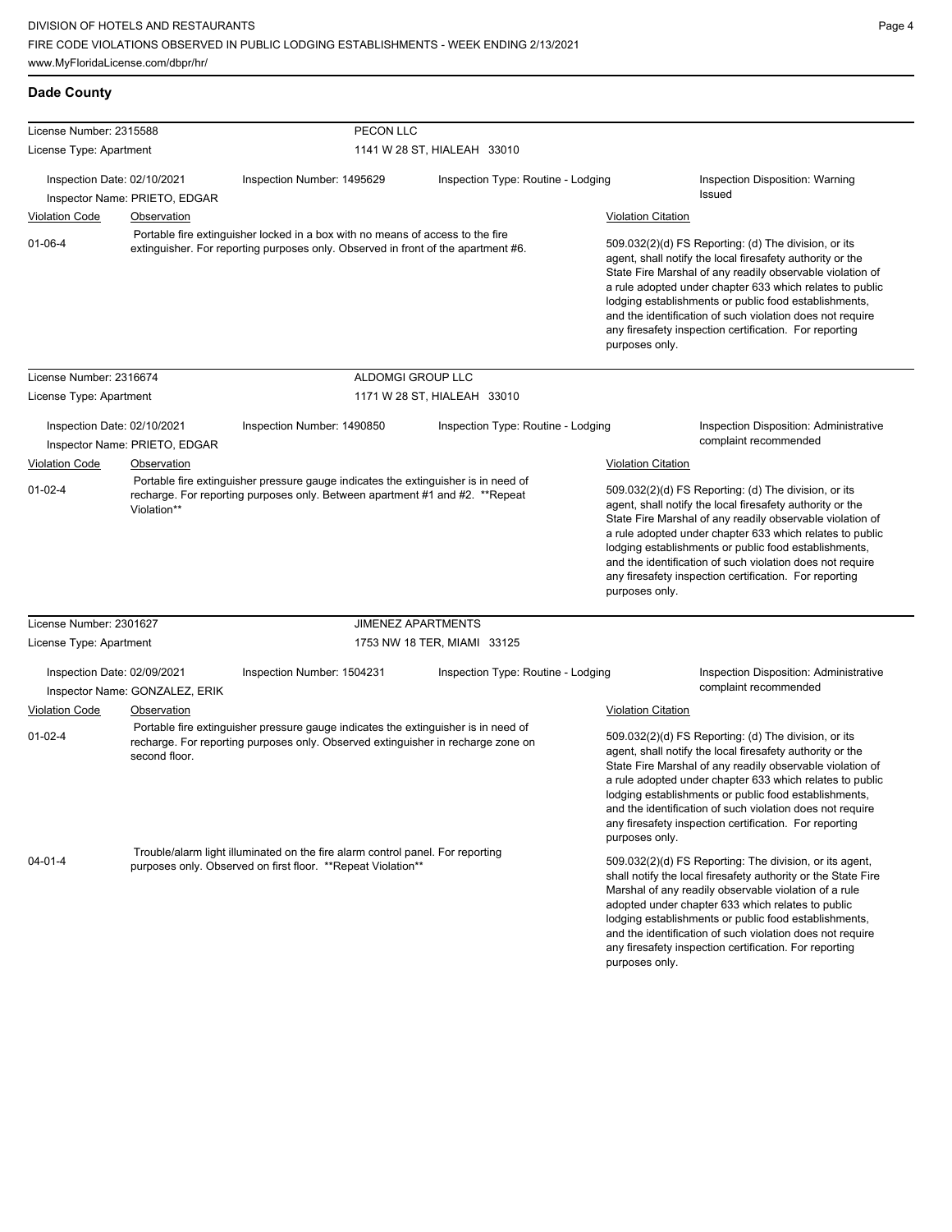| <b>Dade County</b> |  |
|--------------------|--|
|--------------------|--|

| License Number: 2315588     |                                | PECON LLC                                                                                                                                                              |                                    |                                                                                                                                                                                                                                                                                                                                                                                                                                              |                                                                                                                                                                                                                                                                                                                                                                                                                            |
|-----------------------------|--------------------------------|------------------------------------------------------------------------------------------------------------------------------------------------------------------------|------------------------------------|----------------------------------------------------------------------------------------------------------------------------------------------------------------------------------------------------------------------------------------------------------------------------------------------------------------------------------------------------------------------------------------------------------------------------------------------|----------------------------------------------------------------------------------------------------------------------------------------------------------------------------------------------------------------------------------------------------------------------------------------------------------------------------------------------------------------------------------------------------------------------------|
| License Type: Apartment     |                                | 1141 W 28 ST, HIALEAH 33010                                                                                                                                            |                                    |                                                                                                                                                                                                                                                                                                                                                                                                                                              |                                                                                                                                                                                                                                                                                                                                                                                                                            |
| Inspection Date: 02/10/2021 |                                | Inspection Number: 1495629                                                                                                                                             | Inspection Type: Routine - Lodging |                                                                                                                                                                                                                                                                                                                                                                                                                                              | Inspection Disposition: Warning                                                                                                                                                                                                                                                                                                                                                                                            |
|                             | Inspector Name: PRIETO, EDGAR  |                                                                                                                                                                        |                                    |                                                                                                                                                                                                                                                                                                                                                                                                                                              | Issued                                                                                                                                                                                                                                                                                                                                                                                                                     |
| <b>Violation Code</b>       | <b>Observation</b>             |                                                                                                                                                                        |                                    | <b>Violation Citation</b>                                                                                                                                                                                                                                                                                                                                                                                                                    |                                                                                                                                                                                                                                                                                                                                                                                                                            |
| $01 - 06 - 4$               |                                | Portable fire extinguisher locked in a box with no means of access to the fire<br>extinguisher. For reporting purposes only. Observed in front of the apartment #6.    |                                    | 509.032(2)(d) FS Reporting: (d) The division, or its<br>agent, shall notify the local firesafety authority or the<br>State Fire Marshal of any readily observable violation of<br>a rule adopted under chapter 633 which relates to public<br>lodging establishments or public food establishments,<br>and the identification of such violation does not require<br>any firesafety inspection certification. For reporting<br>purposes only. |                                                                                                                                                                                                                                                                                                                                                                                                                            |
| License Number: 2316674     |                                | ALDOMGI GROUP LLC                                                                                                                                                      |                                    |                                                                                                                                                                                                                                                                                                                                                                                                                                              |                                                                                                                                                                                                                                                                                                                                                                                                                            |
| License Type: Apartment     |                                |                                                                                                                                                                        | 1171 W 28 ST, HIALEAH 33010        |                                                                                                                                                                                                                                                                                                                                                                                                                                              |                                                                                                                                                                                                                                                                                                                                                                                                                            |
| Inspection Date: 02/10/2021 | Inspector Name: PRIETO, EDGAR  | Inspection Number: 1490850                                                                                                                                             | Inspection Type: Routine - Lodging |                                                                                                                                                                                                                                                                                                                                                                                                                                              | Inspection Disposition: Administrative<br>complaint recommended                                                                                                                                                                                                                                                                                                                                                            |
| <b>Violation Code</b>       | Observation                    |                                                                                                                                                                        |                                    | <b>Violation Citation</b>                                                                                                                                                                                                                                                                                                                                                                                                                    |                                                                                                                                                                                                                                                                                                                                                                                                                            |
| $01-02-4$                   | Violation**                    | Portable fire extinguisher pressure gauge indicates the extinguisher is in need of<br>recharge. For reporting purposes only. Between apartment #1 and #2. **Repeat     |                                    | purposes only.                                                                                                                                                                                                                                                                                                                                                                                                                               | 509.032(2)(d) FS Reporting: (d) The division, or its<br>agent, shall notify the local firesafety authority or the<br>State Fire Marshal of any readily observable violation of<br>a rule adopted under chapter 633 which relates to public<br>lodging establishments or public food establishments,<br>and the identification of such violation does not require<br>any firesafety inspection certification. For reporting |
| License Number: 2301627     |                                | <b>JIMENEZ APARTMENTS</b>                                                                                                                                              |                                    |                                                                                                                                                                                                                                                                                                                                                                                                                                              |                                                                                                                                                                                                                                                                                                                                                                                                                            |
| License Type: Apartment     |                                | 1753 NW 18 TER, MIAMI 33125                                                                                                                                            |                                    |                                                                                                                                                                                                                                                                                                                                                                                                                                              |                                                                                                                                                                                                                                                                                                                                                                                                                            |
| Inspection Date: 02/09/2021 | Inspector Name: GONZALEZ, ERIK | Inspection Number: 1504231                                                                                                                                             | Inspection Type: Routine - Lodging |                                                                                                                                                                                                                                                                                                                                                                                                                                              | <b>Inspection Disposition: Administrative</b><br>complaint recommended                                                                                                                                                                                                                                                                                                                                                     |
| <b>Violation Code</b>       | Observation                    |                                                                                                                                                                        |                                    | <b>Violation Citation</b>                                                                                                                                                                                                                                                                                                                                                                                                                    |                                                                                                                                                                                                                                                                                                                                                                                                                            |
| $01-02-4$                   | second floor.                  | Portable fire extinguisher pressure gauge indicates the extinguisher is in need of<br>recharge. For reporting purposes only. Observed extinguisher in recharge zone on |                                    | purposes only.                                                                                                                                                                                                                                                                                                                                                                                                                               | 509.032(2)(d) FS Reporting: (d) The division, or its<br>agent, shall notify the local firesafety authority or the<br>State Fire Marshal of any readily observable violation of<br>a rule adopted under chapter 633 which relates to public<br>lodging establishments or public food establishments,<br>and the identification of such violation does not require<br>any firesafety inspection certification. For reporting |
| $04 - 01 - 4$               |                                | Trouble/alarm light illuminated on the fire alarm control panel. For reporting<br>purposes only. Observed on first floor. **Repeat Violation**                         |                                    | purposes only.                                                                                                                                                                                                                                                                                                                                                                                                                               | 509.032(2)(d) FS Reporting: The division, or its agent,<br>shall notify the local firesafety authority or the State Fire<br>Marshal of any readily observable violation of a rule<br>adopted under chapter 633 which relates to public<br>lodging establishments or public food establishments,<br>and the identification of such violation does not require<br>any firesafety inspection certification. For reporting     |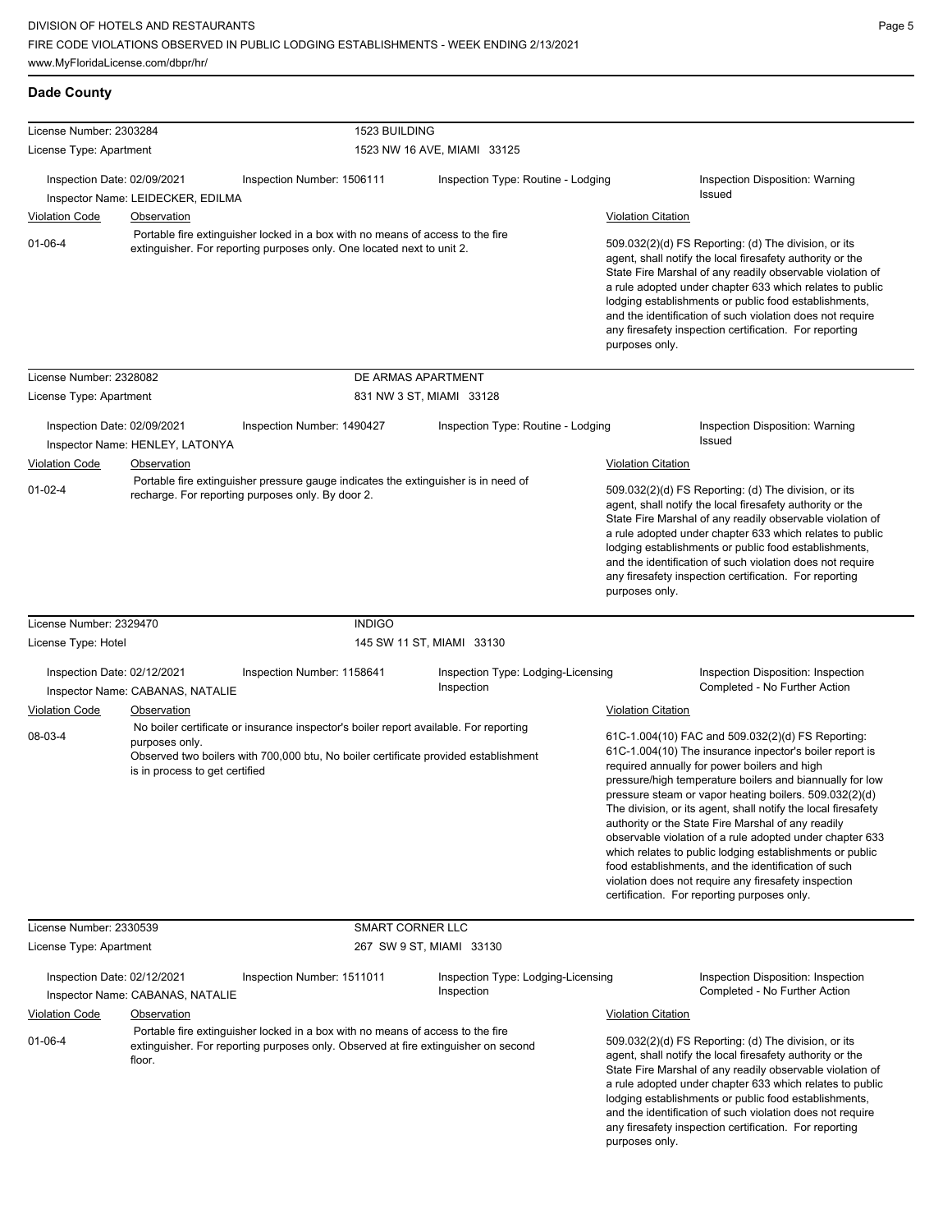| License Number: 2303284     |                                                  | 1523 BUILDING                                                                                                                                                                |                                                  |                           |                                                                                                                                                                                                                                                                                                                                                                                                                                                                                                                                                                                                                                                                                                 |
|-----------------------------|--------------------------------------------------|------------------------------------------------------------------------------------------------------------------------------------------------------------------------------|--------------------------------------------------|---------------------------|-------------------------------------------------------------------------------------------------------------------------------------------------------------------------------------------------------------------------------------------------------------------------------------------------------------------------------------------------------------------------------------------------------------------------------------------------------------------------------------------------------------------------------------------------------------------------------------------------------------------------------------------------------------------------------------------------|
| License Type: Apartment     |                                                  |                                                                                                                                                                              | 1523 NW 16 AVE, MIAMI 33125                      |                           |                                                                                                                                                                                                                                                                                                                                                                                                                                                                                                                                                                                                                                                                                                 |
| Inspection Date: 02/09/2021 | Inspector Name: LEIDECKER, EDILMA                | Inspection Number: 1506111                                                                                                                                                   | Inspection Type: Routine - Lodging               |                           | Inspection Disposition: Warning<br>Issued                                                                                                                                                                                                                                                                                                                                                                                                                                                                                                                                                                                                                                                       |
| <b>Violation Code</b>       | Observation                                      |                                                                                                                                                                              |                                                  | <b>Violation Citation</b> |                                                                                                                                                                                                                                                                                                                                                                                                                                                                                                                                                                                                                                                                                                 |
| $01 - 06 - 4$               |                                                  | Portable fire extinguisher locked in a box with no means of access to the fire<br>extinguisher. For reporting purposes only. One located next to unit 2.                     |                                                  | purposes only.            | 509.032(2)(d) FS Reporting: (d) The division, or its<br>agent, shall notify the local firesafety authority or the<br>State Fire Marshal of any readily observable violation of<br>a rule adopted under chapter 633 which relates to public<br>lodging establishments or public food establishments,<br>and the identification of such violation does not require<br>any firesafety inspection certification. For reporting                                                                                                                                                                                                                                                                      |
| License Number: 2328082     |                                                  | DE ARMAS APARTMENT                                                                                                                                                           |                                                  |                           |                                                                                                                                                                                                                                                                                                                                                                                                                                                                                                                                                                                                                                                                                                 |
| License Type: Apartment     |                                                  |                                                                                                                                                                              | 831 NW 3 ST, MIAMI 33128                         |                           |                                                                                                                                                                                                                                                                                                                                                                                                                                                                                                                                                                                                                                                                                                 |
| Inspection Date: 02/09/2021 | Inspector Name: HENLEY, LATONYA                  | Inspection Number: 1490427                                                                                                                                                   | Inspection Type: Routine - Lodging               |                           | Inspection Disposition: Warning<br><b>Issued</b>                                                                                                                                                                                                                                                                                                                                                                                                                                                                                                                                                                                                                                                |
| <b>Violation Code</b>       | Observation                                      |                                                                                                                                                                              |                                                  | <b>Violation Citation</b> |                                                                                                                                                                                                                                                                                                                                                                                                                                                                                                                                                                                                                                                                                                 |
| $01 - 02 - 4$               |                                                  | Portable fire extinguisher pressure gauge indicates the extinguisher is in need of<br>recharge. For reporting purposes only. By door 2.                                      |                                                  | purposes only.            | 509.032(2)(d) FS Reporting: (d) The division, or its<br>agent, shall notify the local firesafety authority or the<br>State Fire Marshal of any readily observable violation of<br>a rule adopted under chapter 633 which relates to public<br>lodging establishments or public food establishments,<br>and the identification of such violation does not require<br>any firesafety inspection certification. For reporting                                                                                                                                                                                                                                                                      |
| License Number: 2329470     |                                                  | <b>INDIGO</b>                                                                                                                                                                |                                                  |                           |                                                                                                                                                                                                                                                                                                                                                                                                                                                                                                                                                                                                                                                                                                 |
| License Type: Hotel         |                                                  |                                                                                                                                                                              | 145 SW 11 ST, MIAMI 33130                        |                           |                                                                                                                                                                                                                                                                                                                                                                                                                                                                                                                                                                                                                                                                                                 |
| Inspection Date: 02/12/2021 | Inspector Name: CABANAS, NATALIE                 | Inspection Number: 1158641                                                                                                                                                   | Inspection Type: Lodging-Licensing<br>Inspection |                           | Inspection Disposition: Inspection<br>Completed - No Further Action                                                                                                                                                                                                                                                                                                                                                                                                                                                                                                                                                                                                                             |
| <b>Violation Code</b>       | Observation                                      |                                                                                                                                                                              |                                                  | <b>Violation Citation</b> |                                                                                                                                                                                                                                                                                                                                                                                                                                                                                                                                                                                                                                                                                                 |
| 08-03-4                     | purposes only.<br>is in process to get certified | No boiler certificate or insurance inspector's boiler report available. For reporting<br>Observed two boilers with 700,000 btu, No boiler certificate provided establishment |                                                  |                           | 61C-1.004(10) FAC and 509.032(2)(d) FS Reporting:<br>61C-1.004(10) The insurance inpector's boiler report is<br>required annually for power boilers and high<br>pressure/high temperature boilers and biannually for low<br>pressure steam or vapor heating boilers. 509.032(2)(d)<br>The division, or its agent, shall notify the local firesafety<br>authority or the State Fire Marshal of any readily<br>observable violation of a rule adopted under chapter 633<br>which relates to public lodging establishments or public<br>food establishments, and the identification of such<br>violation does not require any firesafety inspection<br>certification. For reporting purposes only. |
| License Number: 2330539     |                                                  | <b>SMART CORNER LLC</b>                                                                                                                                                      |                                                  |                           |                                                                                                                                                                                                                                                                                                                                                                                                                                                                                                                                                                                                                                                                                                 |
| License Type: Apartment     |                                                  |                                                                                                                                                                              | 267 SW 9 ST, MIAMI 33130                         |                           |                                                                                                                                                                                                                                                                                                                                                                                                                                                                                                                                                                                                                                                                                                 |
| Inspection Date: 02/12/2021 | Inspector Name: CABANAS, NATALIE                 | Inspection Number: 1511011                                                                                                                                                   | Inspection Type: Lodging-Licensing<br>Inspection |                           | Inspection Disposition: Inspection<br>Completed - No Further Action                                                                                                                                                                                                                                                                                                                                                                                                                                                                                                                                                                                                                             |
| <b>Violation Code</b>       | Observation                                      |                                                                                                                                                                              |                                                  | <b>Violation Citation</b> |                                                                                                                                                                                                                                                                                                                                                                                                                                                                                                                                                                                                                                                                                                 |
| $01 - 06 - 4$               | floor.                                           | Portable fire extinguisher locked in a box with no means of access to the fire<br>extinguisher. For reporting purposes only. Observed at fire extinguisher on second         |                                                  | purposes only.            | 509.032(2)(d) FS Reporting: (d) The division, or its<br>agent, shall notify the local firesafety authority or the<br>State Fire Marshal of any readily observable violation of<br>a rule adopted under chapter 633 which relates to public<br>lodging establishments or public food establishments,<br>and the identification of such violation does not require<br>any firesafety inspection certification. For reporting                                                                                                                                                                                                                                                                      |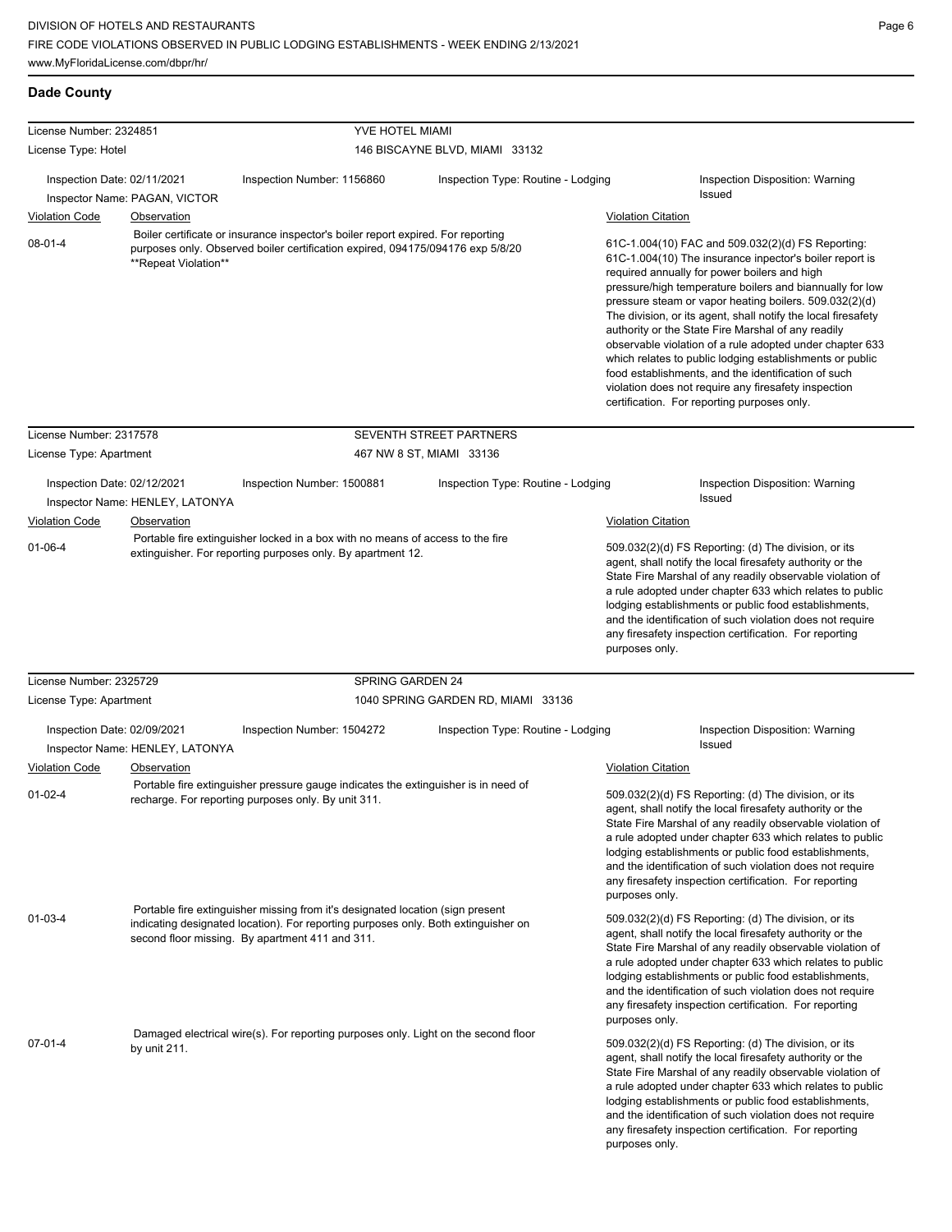| License Number: 2324851                                                      |                                 | YVE HOTEL MIAMI                                                                                                                                                                                                         |                                    |                                                                                                                                                                                                                                                                                                                                                                                                                                              |                                                                                                                                                                                                                                                                                                                                                                                                                                                                                                                                                                                                                                                                                                 |  |
|------------------------------------------------------------------------------|---------------------------------|-------------------------------------------------------------------------------------------------------------------------------------------------------------------------------------------------------------------------|------------------------------------|----------------------------------------------------------------------------------------------------------------------------------------------------------------------------------------------------------------------------------------------------------------------------------------------------------------------------------------------------------------------------------------------------------------------------------------------|-------------------------------------------------------------------------------------------------------------------------------------------------------------------------------------------------------------------------------------------------------------------------------------------------------------------------------------------------------------------------------------------------------------------------------------------------------------------------------------------------------------------------------------------------------------------------------------------------------------------------------------------------------------------------------------------------|--|
| License Type: Hotel                                                          |                                 |                                                                                                                                                                                                                         | 146 BISCAYNE BLVD, MIAMI 33132     |                                                                                                                                                                                                                                                                                                                                                                                                                                              |                                                                                                                                                                                                                                                                                                                                                                                                                                                                                                                                                                                                                                                                                                 |  |
|                                                                              |                                 |                                                                                                                                                                                                                         |                                    |                                                                                                                                                                                                                                                                                                                                                                                                                                              |                                                                                                                                                                                                                                                                                                                                                                                                                                                                                                                                                                                                                                                                                                 |  |
| Inspection Date: 02/11/2021                                                  | Inspector Name: PAGAN, VICTOR   | Inspection Number: 1156860                                                                                                                                                                                              | Inspection Type: Routine - Lodging |                                                                                                                                                                                                                                                                                                                                                                                                                                              | Inspection Disposition: Warning<br><b>Issued</b>                                                                                                                                                                                                                                                                                                                                                                                                                                                                                                                                                                                                                                                |  |
| <b>Violation Code</b>                                                        | <b>Observation</b>              |                                                                                                                                                                                                                         |                                    | <b>Violation Citation</b>                                                                                                                                                                                                                                                                                                                                                                                                                    |                                                                                                                                                                                                                                                                                                                                                                                                                                                                                                                                                                                                                                                                                                 |  |
| $08 - 01 - 4$                                                                | **Repeat Violation**            | Boiler certificate or insurance inspector's boiler report expired. For reporting<br>purposes only. Observed boiler certification expired, 094175/094176 exp 5/8/20                                                      |                                    |                                                                                                                                                                                                                                                                                                                                                                                                                                              | 61C-1.004(10) FAC and 509.032(2)(d) FS Reporting:<br>61C-1.004(10) The insurance inpector's boiler report is<br>required annually for power boilers and high<br>pressure/high temperature boilers and biannually for low<br>pressure steam or vapor heating boilers. 509.032(2)(d)<br>The division, or its agent, shall notify the local firesafety<br>authority or the State Fire Marshal of any readily<br>observable violation of a rule adopted under chapter 633<br>which relates to public lodging establishments or public<br>food establishments, and the identification of such<br>violation does not require any firesafety inspection<br>certification. For reporting purposes only. |  |
| License Number: 2317578                                                      |                                 |                                                                                                                                                                                                                         | SEVENTH STREET PARTNERS            |                                                                                                                                                                                                                                                                                                                                                                                                                                              |                                                                                                                                                                                                                                                                                                                                                                                                                                                                                                                                                                                                                                                                                                 |  |
| License Type: Apartment                                                      |                                 |                                                                                                                                                                                                                         | 467 NW 8 ST, MIAMI 33136           |                                                                                                                                                                                                                                                                                                                                                                                                                                              |                                                                                                                                                                                                                                                                                                                                                                                                                                                                                                                                                                                                                                                                                                 |  |
| Inspection Date: 02/12/2021                                                  | Inspector Name: HENLEY, LATONYA | Inspection Number: 1500881                                                                                                                                                                                              | Inspection Type: Routine - Lodging |                                                                                                                                                                                                                                                                                                                                                                                                                                              | Inspection Disposition: Warning<br>Issued                                                                                                                                                                                                                                                                                                                                                                                                                                                                                                                                                                                                                                                       |  |
| <b>Violation Code</b>                                                        | <b>Observation</b>              | Portable fire extinguisher locked in a box with no means of access to the fire                                                                                                                                          |                                    | <b>Violation Citation</b>                                                                                                                                                                                                                                                                                                                                                                                                                    |                                                                                                                                                                                                                                                                                                                                                                                                                                                                                                                                                                                                                                                                                                 |  |
| $01 - 06 - 4$<br>extinguisher. For reporting purposes only. By apartment 12. |                                 |                                                                                                                                                                                                                         |                                    | 509.032(2)(d) FS Reporting: (d) The division, or its<br>agent, shall notify the local firesafety authority or the<br>State Fire Marshal of any readily observable violation of<br>a rule adopted under chapter 633 which relates to public<br>lodging establishments or public food establishments,<br>and the identification of such violation does not require<br>any firesafety inspection certification. For reporting<br>purposes only. |                                                                                                                                                                                                                                                                                                                                                                                                                                                                                                                                                                                                                                                                                                 |  |
| License Number: 2325729                                                      |                                 | SPRING GARDEN 24                                                                                                                                                                                                        |                                    |                                                                                                                                                                                                                                                                                                                                                                                                                                              |                                                                                                                                                                                                                                                                                                                                                                                                                                                                                                                                                                                                                                                                                                 |  |
| License Type: Apartment                                                      |                                 |                                                                                                                                                                                                                         | 1040 SPRING GARDEN RD, MIAMI 33136 |                                                                                                                                                                                                                                                                                                                                                                                                                                              |                                                                                                                                                                                                                                                                                                                                                                                                                                                                                                                                                                                                                                                                                                 |  |
| Inspection Date: 02/09/2021                                                  | Inspector Name: HENLEY, LATONYA | Inspection Number: 1504272                                                                                                                                                                                              | Inspection Type: Routine - Lodging |                                                                                                                                                                                                                                                                                                                                                                                                                                              | Inspection Disposition: Warning<br>Issued                                                                                                                                                                                                                                                                                                                                                                                                                                                                                                                                                                                                                                                       |  |
| <b>Violation Code</b>                                                        | Observation                     |                                                                                                                                                                                                                         |                                    | <b>Violation Citation</b>                                                                                                                                                                                                                                                                                                                                                                                                                    |                                                                                                                                                                                                                                                                                                                                                                                                                                                                                                                                                                                                                                                                                                 |  |
| $01 - 02 - 4$                                                                |                                 | Portable fire extinguisher pressure gauge indicates the extinguisher is in need of<br>recharge. For reporting purposes only. By unit 311.                                                                               |                                    | purposes only.                                                                                                                                                                                                                                                                                                                                                                                                                               | 509.032(2)(d) FS Reporting: (d) The division, or its<br>agent, shall notify the local firesafety authority or the<br>State Fire Marshal of any readily observable violation of<br>a rule adopted under chapter 633 which relates to public<br>lodging establishments or public food establishments,<br>and the identification of such violation does not require<br>any firesafety inspection certification. For reporting                                                                                                                                                                                                                                                                      |  |
| $01 - 03 - 4$                                                                |                                 | Portable fire extinguisher missing from it's designated location (sign present<br>indicating designated location). For reporting purposes only. Both extinguisher on<br>second floor missing. By apartment 411 and 311. |                                    | purposes only.                                                                                                                                                                                                                                                                                                                                                                                                                               | 509.032(2)(d) FS Reporting: (d) The division, or its<br>agent, shall notify the local firesafety authority or the<br>State Fire Marshal of any readily observable violation of<br>a rule adopted under chapter 633 which relates to public<br>lodging establishments or public food establishments,<br>and the identification of such violation does not require<br>any firesafety inspection certification. For reporting                                                                                                                                                                                                                                                                      |  |
| $07 - 01 - 4$                                                                | by unit $211$ .                 | Damaged electrical wire(s). For reporting purposes only. Light on the second floor                                                                                                                                      |                                    | purposes only.                                                                                                                                                                                                                                                                                                                                                                                                                               | 509.032(2)(d) FS Reporting: (d) The division, or its<br>agent, shall notify the local firesafety authority or the<br>State Fire Marshal of any readily observable violation of<br>a rule adopted under chapter 633 which relates to public<br>lodging establishments or public food establishments,<br>and the identification of such violation does not require<br>any firesafety inspection certification. For reporting                                                                                                                                                                                                                                                                      |  |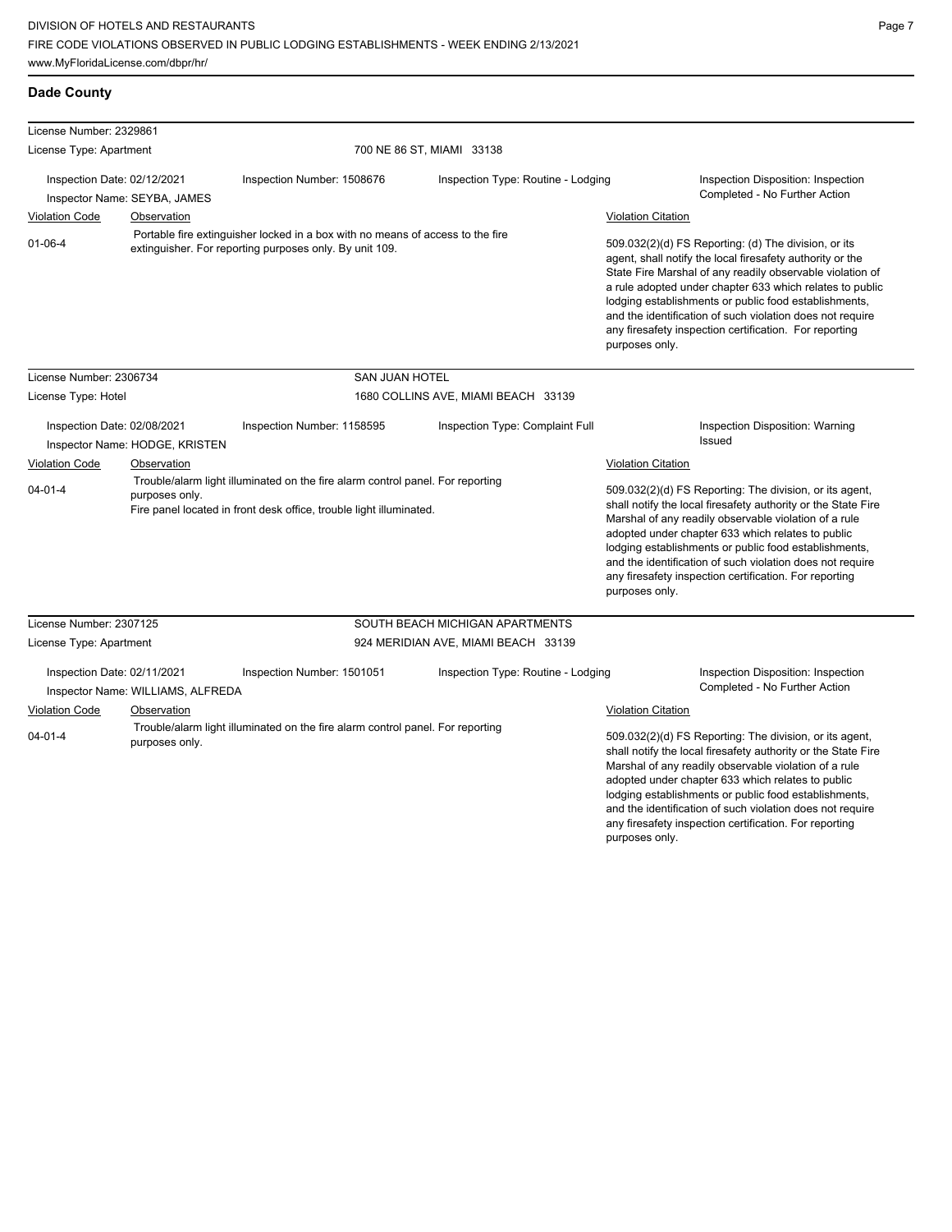| License Number: 2329861                              |                                                  |                                                                                                                                                       |                                     |                                             |                                                                                                                                                                                                                                                                                                                                                                                                                            |
|------------------------------------------------------|--------------------------------------------------|-------------------------------------------------------------------------------------------------------------------------------------------------------|-------------------------------------|---------------------------------------------|----------------------------------------------------------------------------------------------------------------------------------------------------------------------------------------------------------------------------------------------------------------------------------------------------------------------------------------------------------------------------------------------------------------------------|
| License Type: Apartment                              |                                                  |                                                                                                                                                       | 700 NE 86 ST, MIAMI 33138           |                                             |                                                                                                                                                                                                                                                                                                                                                                                                                            |
| Inspection Date: 02/12/2021<br><b>Violation Code</b> | Inspector Name: SEYBA, JAMES                     | Inspection Number: 1508676                                                                                                                            | Inspection Type: Routine - Lodging  | <b>Violation Citation</b>                   | Inspection Disposition: Inspection<br>Completed - No Further Action                                                                                                                                                                                                                                                                                                                                                        |
| $01 - 06 - 4$                                        | <b>Observation</b>                               | Portable fire extinguisher locked in a box with no means of access to the fire<br>extinguisher. For reporting purposes only. By unit 109.             |                                     | purposes only.                              | 509.032(2)(d) FS Reporting: (d) The division, or its<br>agent, shall notify the local firesafety authority or the<br>State Fire Marshal of any readily observable violation of<br>a rule adopted under chapter 633 which relates to public<br>lodging establishments or public food establishments,<br>and the identification of such violation does not require<br>any firesafety inspection certification. For reporting |
| License Number: 2306734                              |                                                  | <b>SAN JUAN HOTEL</b>                                                                                                                                 |                                     |                                             |                                                                                                                                                                                                                                                                                                                                                                                                                            |
| License Type: Hotel                                  |                                                  |                                                                                                                                                       | 1680 COLLINS AVE, MIAMI BEACH 33139 |                                             |                                                                                                                                                                                                                                                                                                                                                                                                                            |
| Inspection Date: 02/08/2021                          | Inspector Name: HODGE, KRISTEN                   | Inspection Number: 1158595                                                                                                                            | Inspection Type: Complaint Full     |                                             | Inspection Disposition: Warning<br><b>Issued</b>                                                                                                                                                                                                                                                                                                                                                                           |
| <b>Violation Code</b><br>$04 - 01 - 4$               | Observation<br>purposes only.                    | Trouble/alarm light illuminated on the fire alarm control panel. For reporting<br>Fire panel located in front desk office, trouble light illuminated. |                                     | <b>Violation Citation</b><br>purposes only. | 509.032(2)(d) FS Reporting: The division, or its agent,<br>shall notify the local firesafety authority or the State Fire<br>Marshal of any readily observable violation of a rule<br>adopted under chapter 633 which relates to public<br>lodging establishments or public food establishments,<br>and the identification of such violation does not require<br>any firesafety inspection certification. For reporting     |
| License Number: 2307125                              |                                                  |                                                                                                                                                       | SOUTH BEACH MICHIGAN APARTMENTS     |                                             |                                                                                                                                                                                                                                                                                                                                                                                                                            |
| License Type: Apartment                              |                                                  |                                                                                                                                                       | 924 MERIDIAN AVE, MIAMI BEACH 33139 |                                             |                                                                                                                                                                                                                                                                                                                                                                                                                            |
| Inspection Date: 02/11/2021<br><b>Violation Code</b> | Inspector Name: WILLIAMS, ALFREDA<br>Observation | Inspection Number: 1501051                                                                                                                            | Inspection Type: Routine - Lodging  | <b>Violation Citation</b>                   | Inspection Disposition: Inspection<br>Completed - No Further Action                                                                                                                                                                                                                                                                                                                                                        |
| $04 - 01 - 4$                                        | purposes only.                                   | Trouble/alarm light illuminated on the fire alarm control panel. For reporting                                                                        |                                     |                                             | 509.032(2)(d) FS Reporting: The division, or its agent,<br>shall notify the local firesafety authority or the State Fire<br>Marshal of any readily observable violation of a rule<br>adopted under chapter 633 which relates to public<br>lodging establishments or public food establishments,<br>and the identification of such violation does not require<br>any firesafety inspection certification. For reporting     |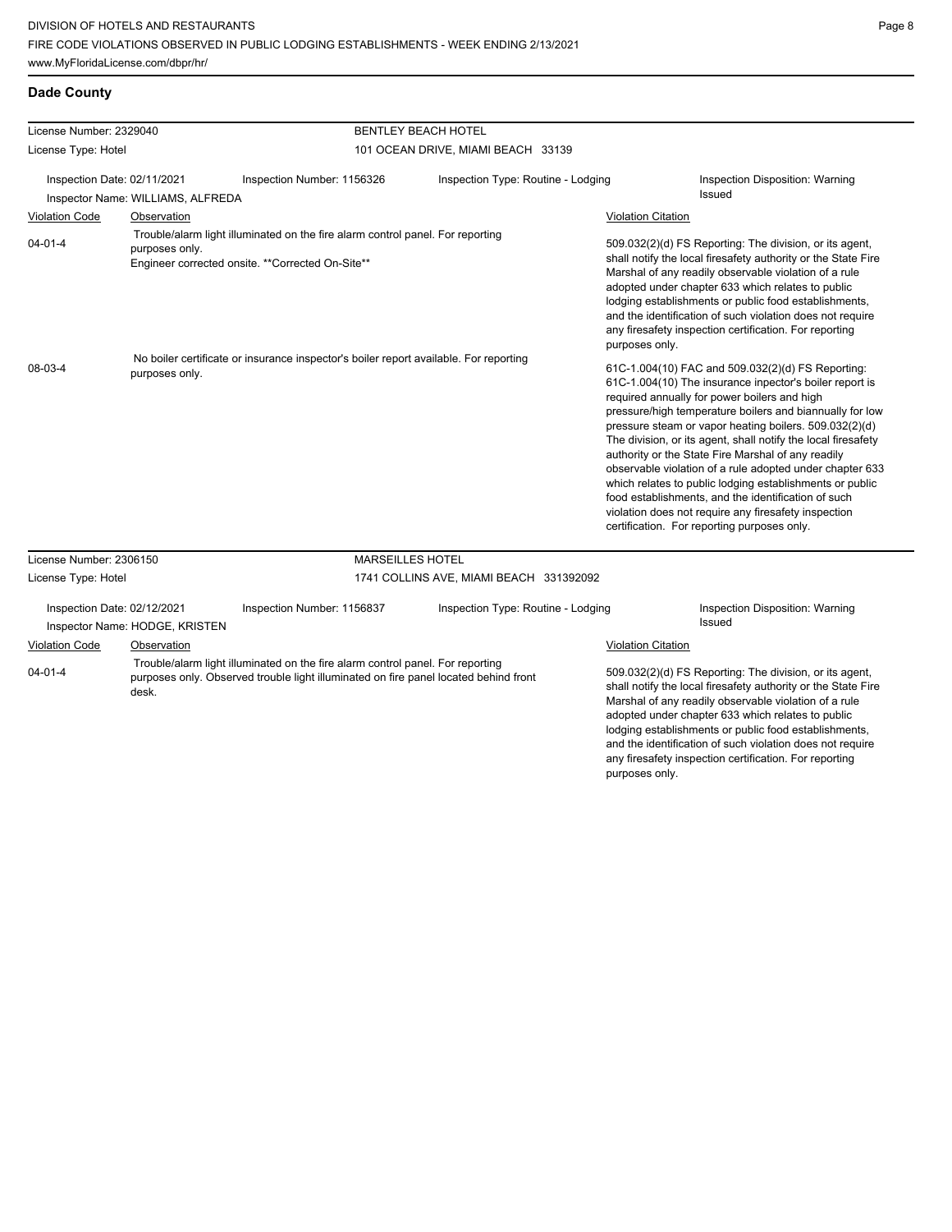|  | <b>Dade County</b> |
|--|--------------------|
|--|--------------------|

| License Number: 2329040                                                                                                                                                |                                   |                                                                                                                                                                        | <b>BENTLEY BEACH HOTEL</b>              |                                                                                                                                                                                                                                                                                                                                                                                                                                          |                                                                                                                                                                                                                                                                                                                                                                                                                                                                                                                                                                                                                                                                                                 |  |
|------------------------------------------------------------------------------------------------------------------------------------------------------------------------|-----------------------------------|------------------------------------------------------------------------------------------------------------------------------------------------------------------------|-----------------------------------------|------------------------------------------------------------------------------------------------------------------------------------------------------------------------------------------------------------------------------------------------------------------------------------------------------------------------------------------------------------------------------------------------------------------------------------------|-------------------------------------------------------------------------------------------------------------------------------------------------------------------------------------------------------------------------------------------------------------------------------------------------------------------------------------------------------------------------------------------------------------------------------------------------------------------------------------------------------------------------------------------------------------------------------------------------------------------------------------------------------------------------------------------------|--|
| License Type: Hotel                                                                                                                                                    |                                   | 101 OCEAN DRIVE, MIAMI BEACH 33139                                                                                                                                     |                                         |                                                                                                                                                                                                                                                                                                                                                                                                                                          |                                                                                                                                                                                                                                                                                                                                                                                                                                                                                                                                                                                                                                                                                                 |  |
| Inspection Date: 02/11/2021                                                                                                                                            | Inspector Name: WILLIAMS, ALFREDA | Inspection Number: 1156326                                                                                                                                             | Inspection Type: Routine - Lodging      |                                                                                                                                                                                                                                                                                                                                                                                                                                          | Inspection Disposition: Warning<br><b>Issued</b>                                                                                                                                                                                                                                                                                                                                                                                                                                                                                                                                                                                                                                                |  |
| <b>Violation Code</b>                                                                                                                                                  | Observation                       |                                                                                                                                                                        |                                         | <b>Violation Citation</b>                                                                                                                                                                                                                                                                                                                                                                                                                |                                                                                                                                                                                                                                                                                                                                                                                                                                                                                                                                                                                                                                                                                                 |  |
| Trouble/alarm light illuminated on the fire alarm control panel. For reporting<br>$04 - 01 - 4$<br>purposes only.<br>Engineer corrected onsite. ** Corrected On-Site** |                                   |                                                                                                                                                                        |                                         | 509.032(2)(d) FS Reporting: The division, or its agent,<br>shall notify the local firesafety authority or the State Fire<br>Marshal of any readily observable violation of a rule<br>adopted under chapter 633 which relates to public<br>lodging establishments or public food establishments,<br>and the identification of such violation does not require<br>any firesafety inspection certification. For reporting<br>purposes only. |                                                                                                                                                                                                                                                                                                                                                                                                                                                                                                                                                                                                                                                                                                 |  |
| 08-03-4                                                                                                                                                                | purposes only.                    | No boiler certificate or insurance inspector's boiler report available. For reporting                                                                                  |                                         |                                                                                                                                                                                                                                                                                                                                                                                                                                          | 61C-1.004(10) FAC and 509.032(2)(d) FS Reporting:<br>61C-1.004(10) The insurance inpector's boiler report is<br>required annually for power boilers and high<br>pressure/high temperature boilers and biannually for low<br>pressure steam or vapor heating boilers. 509.032(2)(d)<br>The division, or its agent, shall notify the local firesafety<br>authority or the State Fire Marshal of any readily<br>observable violation of a rule adopted under chapter 633<br>which relates to public lodging establishments or public<br>food establishments, and the identification of such<br>violation does not require any firesafety inspection<br>certification. For reporting purposes only. |  |
| License Number: 2306150                                                                                                                                                |                                   | <b>MARSEILLES HOTEL</b>                                                                                                                                                |                                         |                                                                                                                                                                                                                                                                                                                                                                                                                                          |                                                                                                                                                                                                                                                                                                                                                                                                                                                                                                                                                                                                                                                                                                 |  |
| License Type: Hotel                                                                                                                                                    |                                   |                                                                                                                                                                        | 1741 COLLINS AVE, MIAMI BEACH 331392092 |                                                                                                                                                                                                                                                                                                                                                                                                                                          |                                                                                                                                                                                                                                                                                                                                                                                                                                                                                                                                                                                                                                                                                                 |  |
| Inspection Date: 02/12/2021                                                                                                                                            | Inspector Name: HODGE, KRISTEN    | Inspection Number: 1156837                                                                                                                                             | Inspection Type: Routine - Lodging      |                                                                                                                                                                                                                                                                                                                                                                                                                                          | Inspection Disposition: Warning<br>Issued                                                                                                                                                                                                                                                                                                                                                                                                                                                                                                                                                                                                                                                       |  |
| Violation Code<br>$04 - 01 - 4$                                                                                                                                        | Observation<br>desk.              | Trouble/alarm light illuminated on the fire alarm control panel. For reporting<br>purposes only. Observed trouble light illuminated on fire panel located behind front |                                         | <b>Violation Citation</b>                                                                                                                                                                                                                                                                                                                                                                                                                | 509.032(2)(d) FS Reporting: The division, or its agent,<br>shall notify the local firesafety authority or the State Fire<br>Marshal of any readily observable violation of a rule<br>adopted under chapter 633 which relates to public<br>lodging establishments or public food establishments,<br>and the identification of such violation does not require<br>any firesafety inspection certification. For reporting                                                                                                                                                                                                                                                                          |  |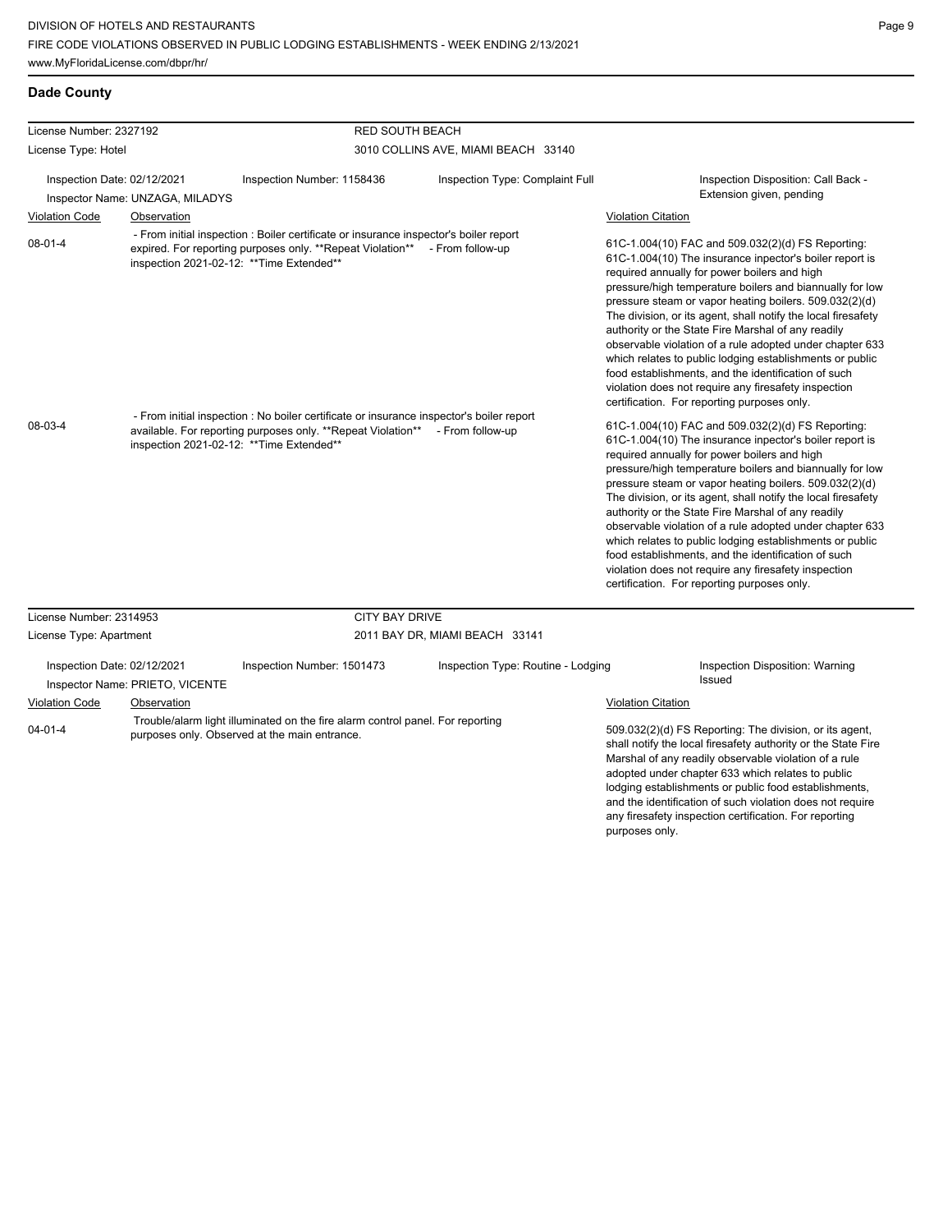| License Number: 2327192     |                                 | <b>RED SOUTH BEACH</b>                                                                                                                                                                                                 |                                    |                                                                                                                                                                                                                                                                                                                                                                                                                                                                                                                                                                                                                                                                                                 |
|-----------------------------|---------------------------------|------------------------------------------------------------------------------------------------------------------------------------------------------------------------------------------------------------------------|------------------------------------|-------------------------------------------------------------------------------------------------------------------------------------------------------------------------------------------------------------------------------------------------------------------------------------------------------------------------------------------------------------------------------------------------------------------------------------------------------------------------------------------------------------------------------------------------------------------------------------------------------------------------------------------------------------------------------------------------|
| License Type: Hotel         |                                 | 3010 COLLINS AVE, MIAMI BEACH 33140                                                                                                                                                                                    |                                    |                                                                                                                                                                                                                                                                                                                                                                                                                                                                                                                                                                                                                                                                                                 |
| Inspection Date: 02/12/2021 | Inspector Name: UNZAGA, MILADYS | Inspection Number: 1158436                                                                                                                                                                                             | Inspection Type: Complaint Full    | Inspection Disposition: Call Back -<br>Extension given, pending                                                                                                                                                                                                                                                                                                                                                                                                                                                                                                                                                                                                                                 |
| <b>Violation Code</b>       | Observation                     |                                                                                                                                                                                                                        |                                    | <b>Violation Citation</b>                                                                                                                                                                                                                                                                                                                                                                                                                                                                                                                                                                                                                                                                       |
| 08-01-4                     |                                 | - From initial inspection : Boiler certificate or insurance inspector's boiler report<br>expired. For reporting purposes only. **Repeat Violation** - From follow-up<br>inspection 2021-02-12: ** Time Extended**      |                                    | 61C-1.004(10) FAC and 509.032(2)(d) FS Reporting:<br>61C-1.004(10) The insurance inpector's boiler report is<br>required annually for power boilers and high<br>pressure/high temperature boilers and biannually for low<br>pressure steam or vapor heating boilers. 509.032(2)(d)<br>The division, or its agent, shall notify the local firesafety<br>authority or the State Fire Marshal of any readily<br>observable violation of a rule adopted under chapter 633<br>which relates to public lodging establishments or public<br>food establishments, and the identification of such<br>violation does not require any firesafety inspection<br>certification. For reporting purposes only. |
| 08-03-4                     |                                 | - From initial inspection : No boiler certificate or insurance inspector's boiler report<br>available. For reporting purposes only. **Repeat Violation** - From follow-up<br>inspection 2021-02-12: ** Time Extended** |                                    | 61C-1.004(10) FAC and 509.032(2)(d) FS Reporting:<br>61C-1.004(10) The insurance inpector's boiler report is<br>required annually for power boilers and high<br>pressure/high temperature boilers and biannually for low<br>pressure steam or vapor heating boilers. 509.032(2)(d)<br>The division, or its agent, shall notify the local firesafety<br>authority or the State Fire Marshal of any readily<br>observable violation of a rule adopted under chapter 633<br>which relates to public lodging establishments or public<br>food establishments, and the identification of such<br>violation does not require any firesafety inspection<br>certification. For reporting purposes only. |
| License Number: 2314953     |                                 | <b>CITY BAY DRIVE</b>                                                                                                                                                                                                  |                                    |                                                                                                                                                                                                                                                                                                                                                                                                                                                                                                                                                                                                                                                                                                 |
| License Type: Apartment     |                                 |                                                                                                                                                                                                                        | 2011 BAY DR, MIAMI BEACH 33141     |                                                                                                                                                                                                                                                                                                                                                                                                                                                                                                                                                                                                                                                                                                 |
| Inspection Date: 02/12/2021 | Inspector Name: PRIETO, VICENTE | Inspection Number: 1501473                                                                                                                                                                                             | Inspection Type: Routine - Lodging | Inspection Disposition: Warning<br><b>Issued</b>                                                                                                                                                                                                                                                                                                                                                                                                                                                                                                                                                                                                                                                |
| Violation Code              | Observation                     |                                                                                                                                                                                                                        |                                    | Violation Citation                                                                                                                                                                                                                                                                                                                                                                                                                                                                                                                                                                                                                                                                              |
| $04 - 01 - 4$               |                                 | Trouble/alarm light illuminated on the fire alarm control panel. For reporting<br>purposes only. Observed at the main entrance.                                                                                        |                                    | 509.032(2)(d) FS Reporting: The division, or its agent,                                                                                                                                                                                                                                                                                                                                                                                                                                                                                                                                                                                                                                         |

509.032(2)(d) FS Reporting: The division, or its agent, shall notify the local firesafety authority or the State Fire Marshal of any readily observable violation of a rule adopted under chapter 633 which relates to public lodging establishments or public food establishments, and the identification of such violation does not require any firesafety inspection certification. For reporting purposes only.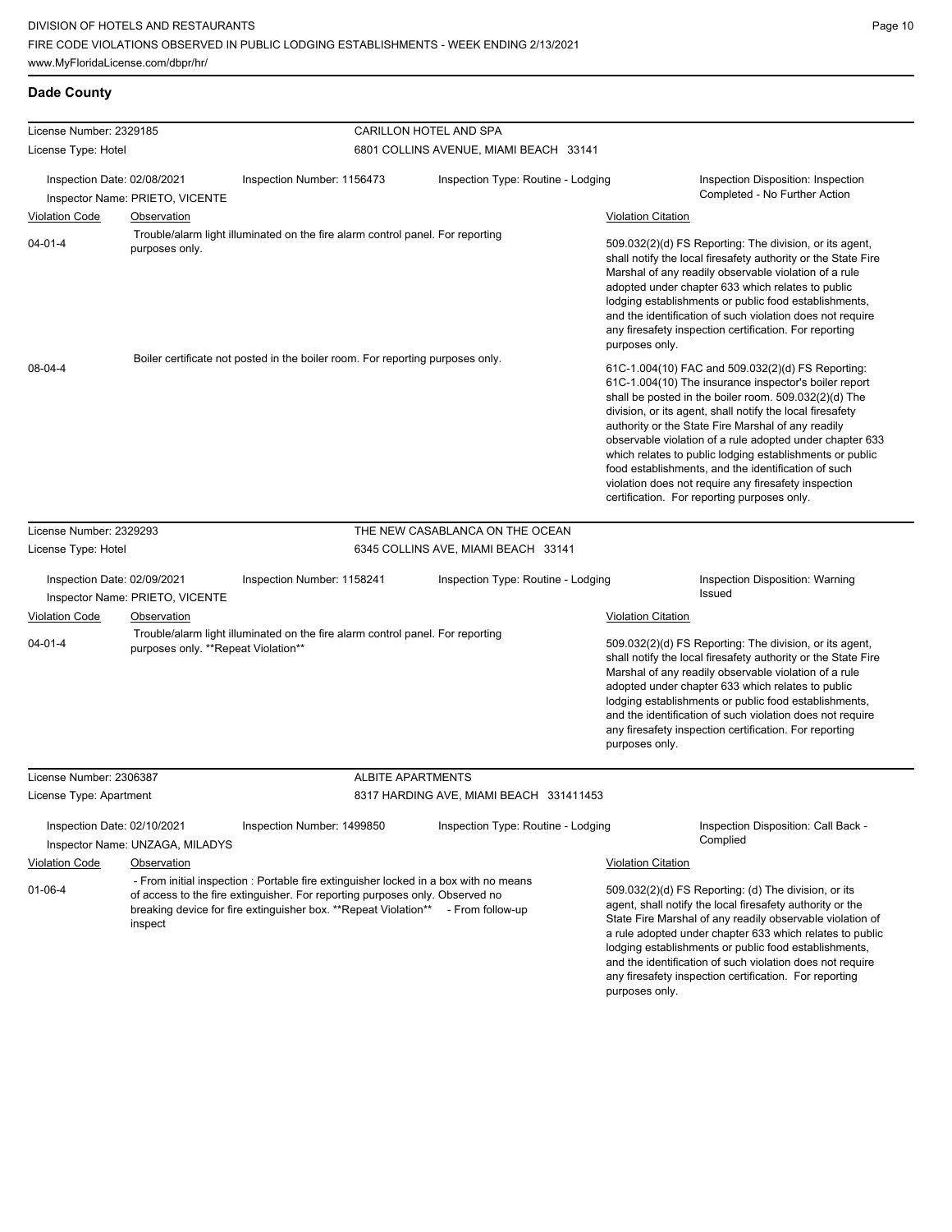| License Number: 2329185     |                                     |                                                                                                                                                                                                                                         | CARILLON HOTEL AND SPA                  |                           |                                                                                                                                                                                                                                                                                                                                                                                                                                                                                                                                                                              |
|-----------------------------|-------------------------------------|-----------------------------------------------------------------------------------------------------------------------------------------------------------------------------------------------------------------------------------------|-----------------------------------------|---------------------------|------------------------------------------------------------------------------------------------------------------------------------------------------------------------------------------------------------------------------------------------------------------------------------------------------------------------------------------------------------------------------------------------------------------------------------------------------------------------------------------------------------------------------------------------------------------------------|
| License Type: Hotel         |                                     |                                                                                                                                                                                                                                         | 6801 COLLINS AVENUE, MIAMI BEACH 33141  |                           |                                                                                                                                                                                                                                                                                                                                                                                                                                                                                                                                                                              |
|                             |                                     |                                                                                                                                                                                                                                         |                                         |                           |                                                                                                                                                                                                                                                                                                                                                                                                                                                                                                                                                                              |
| Inspection Date: 02/08/2021 | Inspector Name: PRIETO, VICENTE     | Inspection Number: 1156473                                                                                                                                                                                                              | Inspection Type: Routine - Lodging      |                           | Inspection Disposition: Inspection<br>Completed - No Further Action                                                                                                                                                                                                                                                                                                                                                                                                                                                                                                          |
| <b>Violation Code</b>       | Observation                         |                                                                                                                                                                                                                                         |                                         | <b>Violation Citation</b> |                                                                                                                                                                                                                                                                                                                                                                                                                                                                                                                                                                              |
| $04 - 01 - 4$               | purposes only.                      | Trouble/alarm light illuminated on the fire alarm control panel. For reporting                                                                                                                                                          |                                         | purposes only.            | 509.032(2)(d) FS Reporting: The division, or its agent,<br>shall notify the local firesafety authority or the State Fire<br>Marshal of any readily observable violation of a rule<br>adopted under chapter 633 which relates to public<br>lodging establishments or public food establishments,<br>and the identification of such violation does not require<br>any firesafety inspection certification. For reporting                                                                                                                                                       |
| 08-04-4                     |                                     | Boiler certificate not posted in the boiler room. For reporting purposes only.                                                                                                                                                          |                                         |                           | 61C-1.004(10) FAC and 509.032(2)(d) FS Reporting:<br>61C-1.004(10) The insurance inspector's boiler report<br>shall be posted in the boiler room. 509.032(2)(d) The<br>division, or its agent, shall notify the local firesafety<br>authority or the State Fire Marshal of any readily<br>observable violation of a rule adopted under chapter 633<br>which relates to public lodging establishments or public<br>food establishments, and the identification of such<br>violation does not require any firesafety inspection<br>certification. For reporting purposes only. |
| License Number: 2329293     |                                     |                                                                                                                                                                                                                                         | THE NEW CASABLANCA ON THE OCEAN         |                           |                                                                                                                                                                                                                                                                                                                                                                                                                                                                                                                                                                              |
| License Type: Hotel         |                                     |                                                                                                                                                                                                                                         | 6345 COLLINS AVE, MIAMI BEACH 33141     |                           |                                                                                                                                                                                                                                                                                                                                                                                                                                                                                                                                                                              |
| Inspection Date: 02/09/2021 | Inspector Name: PRIETO, VICENTE     | Inspection Number: 1158241                                                                                                                                                                                                              | Inspection Type: Routine - Lodging      |                           | Inspection Disposition: Warning<br>Issued                                                                                                                                                                                                                                                                                                                                                                                                                                                                                                                                    |
| <b>Violation Code</b>       | Observation                         |                                                                                                                                                                                                                                         |                                         | <b>Violation Citation</b> |                                                                                                                                                                                                                                                                                                                                                                                                                                                                                                                                                                              |
| $04 - 01 - 4$               | purposes only. **Repeat Violation** | Trouble/alarm light illuminated on the fire alarm control panel. For reporting                                                                                                                                                          |                                         | purposes only.            | 509.032(2)(d) FS Reporting: The division, or its agent,<br>shall notify the local firesafety authority or the State Fire<br>Marshal of any readily observable violation of a rule<br>adopted under chapter 633 which relates to public<br>lodging establishments or public food establishments,<br>and the identification of such violation does not require<br>any firesafety inspection certification. For reporting                                                                                                                                                       |
| License Number: 2306387     |                                     | <b>ALBITE APARTMENTS</b>                                                                                                                                                                                                                |                                         |                           |                                                                                                                                                                                                                                                                                                                                                                                                                                                                                                                                                                              |
| License Type: Apartment     |                                     |                                                                                                                                                                                                                                         | 8317 HARDING AVE, MIAMI BEACH 331411453 |                           |                                                                                                                                                                                                                                                                                                                                                                                                                                                                                                                                                                              |
| Inspection Date: 02/10/2021 | Inspector Name: UNZAGA, MILADYS     | Inspection Number: 1499850                                                                                                                                                                                                              | Inspection Type: Routine - Lodging      |                           | Inspection Disposition: Call Back -<br>Complied                                                                                                                                                                                                                                                                                                                                                                                                                                                                                                                              |
| <b>Violation Code</b>       | Observation                         |                                                                                                                                                                                                                                         |                                         | <b>Violation Citation</b> |                                                                                                                                                                                                                                                                                                                                                                                                                                                                                                                                                                              |
| $01 - 06 - 4$               | inspect                             | - From initial inspection : Portable fire extinguisher locked in a box with no means<br>of access to the fire extinguisher. For reporting purposes only. Observed no<br>breaking device for fire extinguisher box. **Repeat Violation** | - From follow-up                        | purposes only.            | 509.032(2)(d) FS Reporting: (d) The division, or its<br>agent, shall notify the local firesafety authority or the<br>State Fire Marshal of any readily observable violation of<br>a rule adopted under chapter 633 which relates to public<br>lodging establishments or public food establishments,<br>and the identification of such violation does not require<br>any firesafety inspection certification. For reporting                                                                                                                                                   |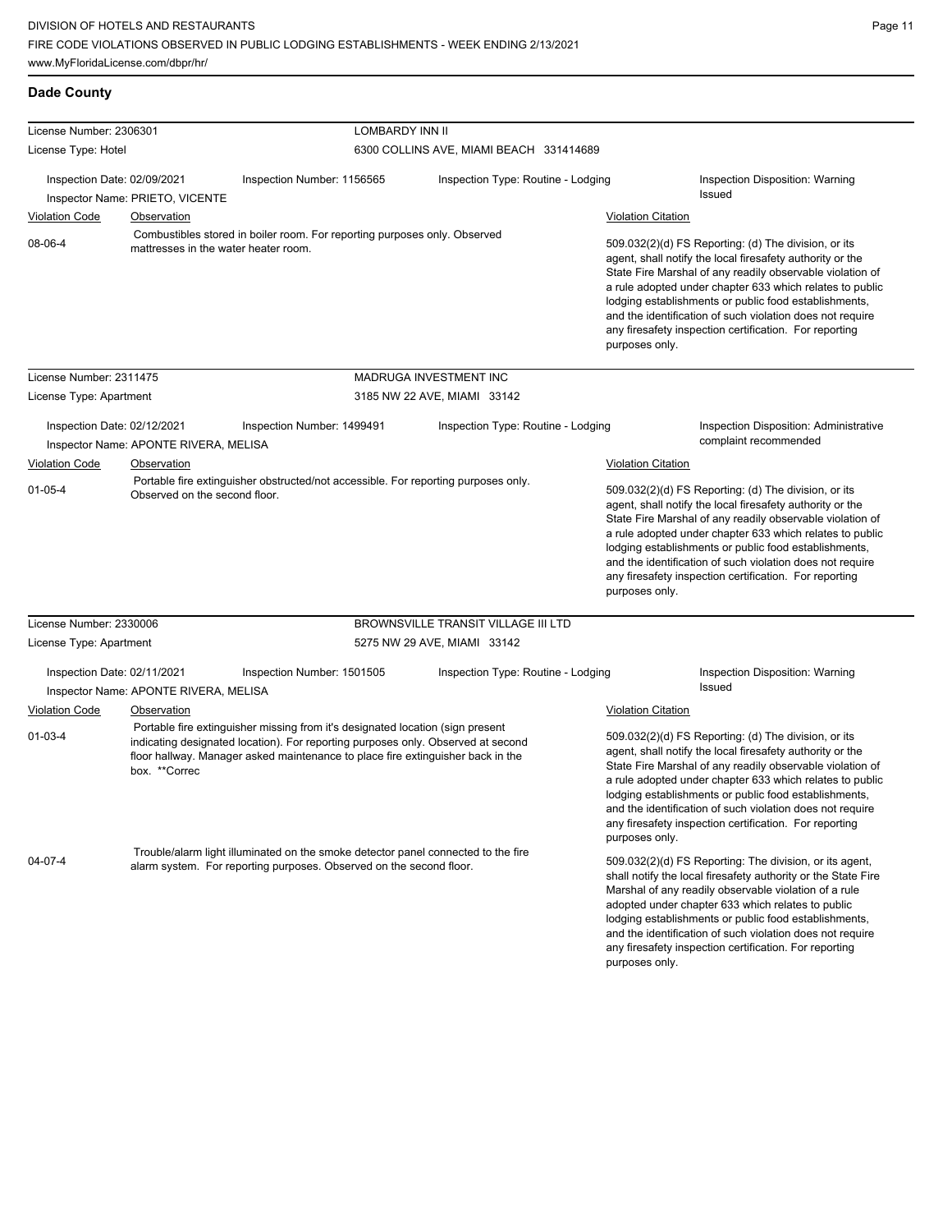| License Number: 2306301     |                                                | <b>LOMBARDY INN II</b>                                                                                                                                                                                                                                |                                         |                           |                                                                                                                                                                                                                                                                                                                                                                                                                            |
|-----------------------------|------------------------------------------------|-------------------------------------------------------------------------------------------------------------------------------------------------------------------------------------------------------------------------------------------------------|-----------------------------------------|---------------------------|----------------------------------------------------------------------------------------------------------------------------------------------------------------------------------------------------------------------------------------------------------------------------------------------------------------------------------------------------------------------------------------------------------------------------|
| License Type: Hotel         |                                                |                                                                                                                                                                                                                                                       | 6300 COLLINS AVE, MIAMI BEACH 331414689 |                           |                                                                                                                                                                                                                                                                                                                                                                                                                            |
| Inspection Date: 02/09/2021 |                                                | Inspection Number: 1156565                                                                                                                                                                                                                            | Inspection Type: Routine - Lodging      |                           | Inspection Disposition: Warning<br><b>Issued</b>                                                                                                                                                                                                                                                                                                                                                                           |
| <b>Violation Code</b>       | Inspector Name: PRIETO, VICENTE<br>Observation |                                                                                                                                                                                                                                                       |                                         | <b>Violation Citation</b> |                                                                                                                                                                                                                                                                                                                                                                                                                            |
| 08-06-4                     | mattresses in the water heater room.           | Combustibles stored in boiler room. For reporting purposes only. Observed                                                                                                                                                                             |                                         | purposes only.            | 509.032(2)(d) FS Reporting: (d) The division, or its<br>agent, shall notify the local firesafety authority or the<br>State Fire Marshal of any readily observable violation of<br>a rule adopted under chapter 633 which relates to public<br>lodging establishments or public food establishments,<br>and the identification of such violation does not require<br>any firesafety inspection certification. For reporting |
| License Number: 2311475     |                                                |                                                                                                                                                                                                                                                       | MADRUGA INVESTMENT INC                  |                           |                                                                                                                                                                                                                                                                                                                                                                                                                            |
| License Type: Apartment     |                                                |                                                                                                                                                                                                                                                       | 3185 NW 22 AVE, MIAMI 33142             |                           |                                                                                                                                                                                                                                                                                                                                                                                                                            |
| Inspection Date: 02/12/2021 | Inspector Name: APONTE RIVERA, MELISA          | Inspection Number: 1499491                                                                                                                                                                                                                            | Inspection Type: Routine - Lodging      |                           | Inspection Disposition: Administrative<br>complaint recommended                                                                                                                                                                                                                                                                                                                                                            |
| <b>Violation Code</b>       | Observation                                    |                                                                                                                                                                                                                                                       |                                         | Violation Citation        |                                                                                                                                                                                                                                                                                                                                                                                                                            |
| $01 - 05 - 4$               | Observed on the second floor.                  | Portable fire extinguisher obstructed/not accessible. For reporting purposes only.                                                                                                                                                                    |                                         | purposes only.            | 509.032(2)(d) FS Reporting: (d) The division, or its<br>agent, shall notify the local firesafety authority or the<br>State Fire Marshal of any readily observable violation of<br>a rule adopted under chapter 633 which relates to public<br>lodging establishments or public food establishments,<br>and the identification of such violation does not require<br>any firesafety inspection certification. For reporting |
| License Number: 2330006     |                                                |                                                                                                                                                                                                                                                       | BROWNSVILLE TRANSIT VILLAGE III LTD     |                           |                                                                                                                                                                                                                                                                                                                                                                                                                            |
| License Type: Apartment     |                                                |                                                                                                                                                                                                                                                       | 5275 NW 29 AVE, MIAMI 33142             |                           |                                                                                                                                                                                                                                                                                                                                                                                                                            |
| Inspection Date: 02/11/2021 | Inspector Name: APONTE RIVERA, MELISA          | Inspection Number: 1501505                                                                                                                                                                                                                            | Inspection Type: Routine - Lodging      |                           | Inspection Disposition: Warning<br>Issued                                                                                                                                                                                                                                                                                                                                                                                  |
| <b>Violation Code</b>       | Observation                                    |                                                                                                                                                                                                                                                       |                                         | <b>Violation Citation</b> |                                                                                                                                                                                                                                                                                                                                                                                                                            |
| $01-03-4$                   | box. **Correc                                  | Portable fire extinguisher missing from it's designated location (sign present<br>indicating designated location). For reporting purposes only. Observed at second<br>floor hallway. Manager asked maintenance to place fire extinguisher back in the |                                         | purposes only.            | 509.032(2)(d) FS Reporting: (d) The division, or its<br>agent, shall notify the local firesafety authority or the<br>State Fire Marshal of any readily observable violation of<br>a rule adopted under chapter 633 which relates to public<br>lodging establishments or public food establishments,<br>and the identification of such violation does not require<br>any firesafety inspection certification. For reporting |
| 04-07-4                     |                                                | Trouble/alarm light illuminated on the smoke detector panel connected to the fire<br>alarm system. For reporting purposes. Observed on the second floor.                                                                                              |                                         | purposes only.            | 509.032(2)(d) FS Reporting: The division, or its agent,<br>shall notify the local firesafety authority or the State Fire<br>Marshal of any readily observable violation of a rule<br>adopted under chapter 633 which relates to public<br>lodging establishments or public food establishments,<br>and the identification of such violation does not require<br>any firesafety inspection certification. For reporting     |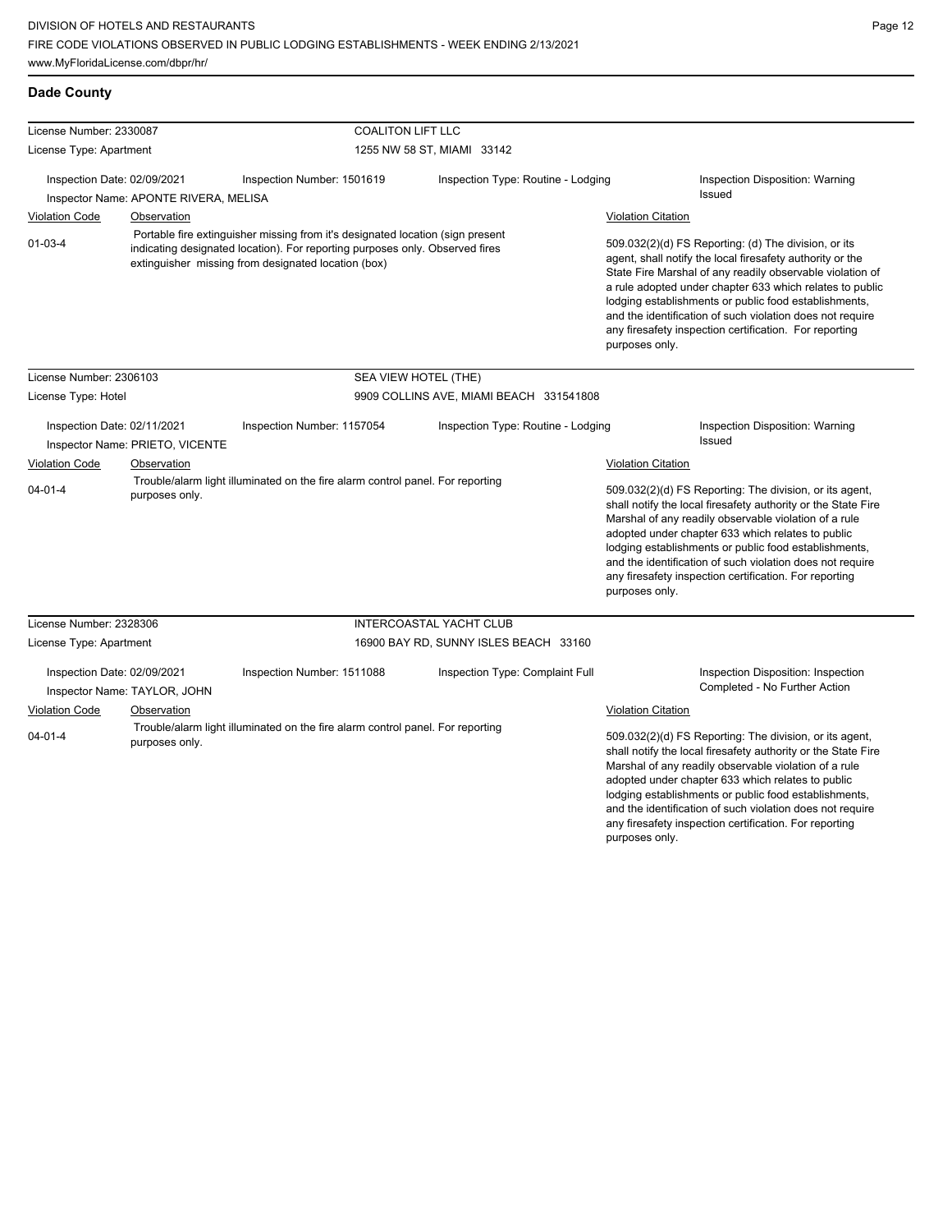any firesafety inspection certification. For reporting

| License Number: 2330087              |                                       | <b>COALITON LIFT LLC</b>                                                                                                                                                                                              |                                         |                                                                                                                                                                                                                                                                                                                                                                                                                                              |                                                                                                                                                                                                                                                                                                                                                                                                                        |  |  |
|--------------------------------------|---------------------------------------|-----------------------------------------------------------------------------------------------------------------------------------------------------------------------------------------------------------------------|-----------------------------------------|----------------------------------------------------------------------------------------------------------------------------------------------------------------------------------------------------------------------------------------------------------------------------------------------------------------------------------------------------------------------------------------------------------------------------------------------|------------------------------------------------------------------------------------------------------------------------------------------------------------------------------------------------------------------------------------------------------------------------------------------------------------------------------------------------------------------------------------------------------------------------|--|--|
| License Type: Apartment              |                                       |                                                                                                                                                                                                                       | 1255 NW 58 ST, MIAMI 33142              |                                                                                                                                                                                                                                                                                                                                                                                                                                              |                                                                                                                                                                                                                                                                                                                                                                                                                        |  |  |
| Inspection Date: 02/09/2021          | Inspector Name: APONTE RIVERA, MELISA | Inspection Number: 1501619                                                                                                                                                                                            | Inspection Type: Routine - Lodging      |                                                                                                                                                                                                                                                                                                                                                                                                                                              | Inspection Disposition: Warning<br><b>Issued</b>                                                                                                                                                                                                                                                                                                                                                                       |  |  |
| <b>Violation Code</b>                | Observation                           |                                                                                                                                                                                                                       |                                         | <b>Violation Citation</b>                                                                                                                                                                                                                                                                                                                                                                                                                    |                                                                                                                                                                                                                                                                                                                                                                                                                        |  |  |
| $01 - 03 - 4$                        |                                       | Portable fire extinguisher missing from it's designated location (sign present<br>indicating designated location). For reporting purposes only. Observed fires<br>extinguisher missing from designated location (box) |                                         | 509.032(2)(d) FS Reporting: (d) The division, or its<br>agent, shall notify the local firesafety authority or the<br>State Fire Marshal of any readily observable violation of<br>a rule adopted under chapter 633 which relates to public<br>lodging establishments or public food establishments,<br>and the identification of such violation does not require<br>any firesafety inspection certification. For reporting<br>purposes only. |                                                                                                                                                                                                                                                                                                                                                                                                                        |  |  |
| License Number: 2306103              |                                       |                                                                                                                                                                                                                       | SEA VIEW HOTEL (THE)                    |                                                                                                                                                                                                                                                                                                                                                                                                                                              |                                                                                                                                                                                                                                                                                                                                                                                                                        |  |  |
| License Type: Hotel                  |                                       |                                                                                                                                                                                                                       | 9909 COLLINS AVE, MIAMI BEACH 331541808 |                                                                                                                                                                                                                                                                                                                                                                                                                                              |                                                                                                                                                                                                                                                                                                                                                                                                                        |  |  |
| Inspection Date: 02/11/2021          | Inspector Name: PRIETO, VICENTE       | Inspection Number: 1157054                                                                                                                                                                                            | Inspection Type: Routine - Lodging      |                                                                                                                                                                                                                                                                                                                                                                                                                                              | Inspection Disposition: Warning<br><b>Issued</b>                                                                                                                                                                                                                                                                                                                                                                       |  |  |
| <b>Violation Code</b><br>Observation |                                       |                                                                                                                                                                                                                       |                                         |                                                                                                                                                                                                                                                                                                                                                                                                                                              | <b>Violation Citation</b>                                                                                                                                                                                                                                                                                                                                                                                              |  |  |
| $04 - 01 - 4$                        | purposes only.                        | Trouble/alarm light illuminated on the fire alarm control panel. For reporting                                                                                                                                        |                                         | purposes only.                                                                                                                                                                                                                                                                                                                                                                                                                               | 509.032(2)(d) FS Reporting: The division, or its agent,<br>shall notify the local firesafety authority or the State Fire<br>Marshal of any readily observable violation of a rule<br>adopted under chapter 633 which relates to public<br>lodging establishments or public food establishments,<br>and the identification of such violation does not require<br>any firesafety inspection certification. For reporting |  |  |
| License Number: 2328306              |                                       |                                                                                                                                                                                                                       | INTERCOASTAL YACHT CLUB                 |                                                                                                                                                                                                                                                                                                                                                                                                                                              |                                                                                                                                                                                                                                                                                                                                                                                                                        |  |  |
| License Type: Apartment              |                                       |                                                                                                                                                                                                                       | 16900 BAY RD, SUNNY ISLES BEACH 33160   |                                                                                                                                                                                                                                                                                                                                                                                                                                              |                                                                                                                                                                                                                                                                                                                                                                                                                        |  |  |
| Inspection Date: 02/09/2021          | Inspector Name: TAYLOR, JOHN          | Inspection Number: 1511088                                                                                                                                                                                            | Inspection Type: Complaint Full         |                                                                                                                                                                                                                                                                                                                                                                                                                                              | Inspection Disposition: Inspection<br>Completed - No Further Action                                                                                                                                                                                                                                                                                                                                                    |  |  |
| <b>Violation Code</b>                | Observation                           |                                                                                                                                                                                                                       |                                         | <b>Violation Citation</b>                                                                                                                                                                                                                                                                                                                                                                                                                    |                                                                                                                                                                                                                                                                                                                                                                                                                        |  |  |
| $04 - 01 - 4$                        | purposes only.                        | Trouble/alarm light illuminated on the fire alarm control panel. For reporting                                                                                                                                        |                                         |                                                                                                                                                                                                                                                                                                                                                                                                                                              | 509.032(2)(d) FS Reporting: The division, or its agent,<br>shall notify the local firesafety authority or the State Fire<br>Marshal of any readily observable violation of a rule<br>adopted under chapter 633 which relates to public<br>lodging establishments or public food establishments,<br>and the identification of such violation does not require                                                           |  |  |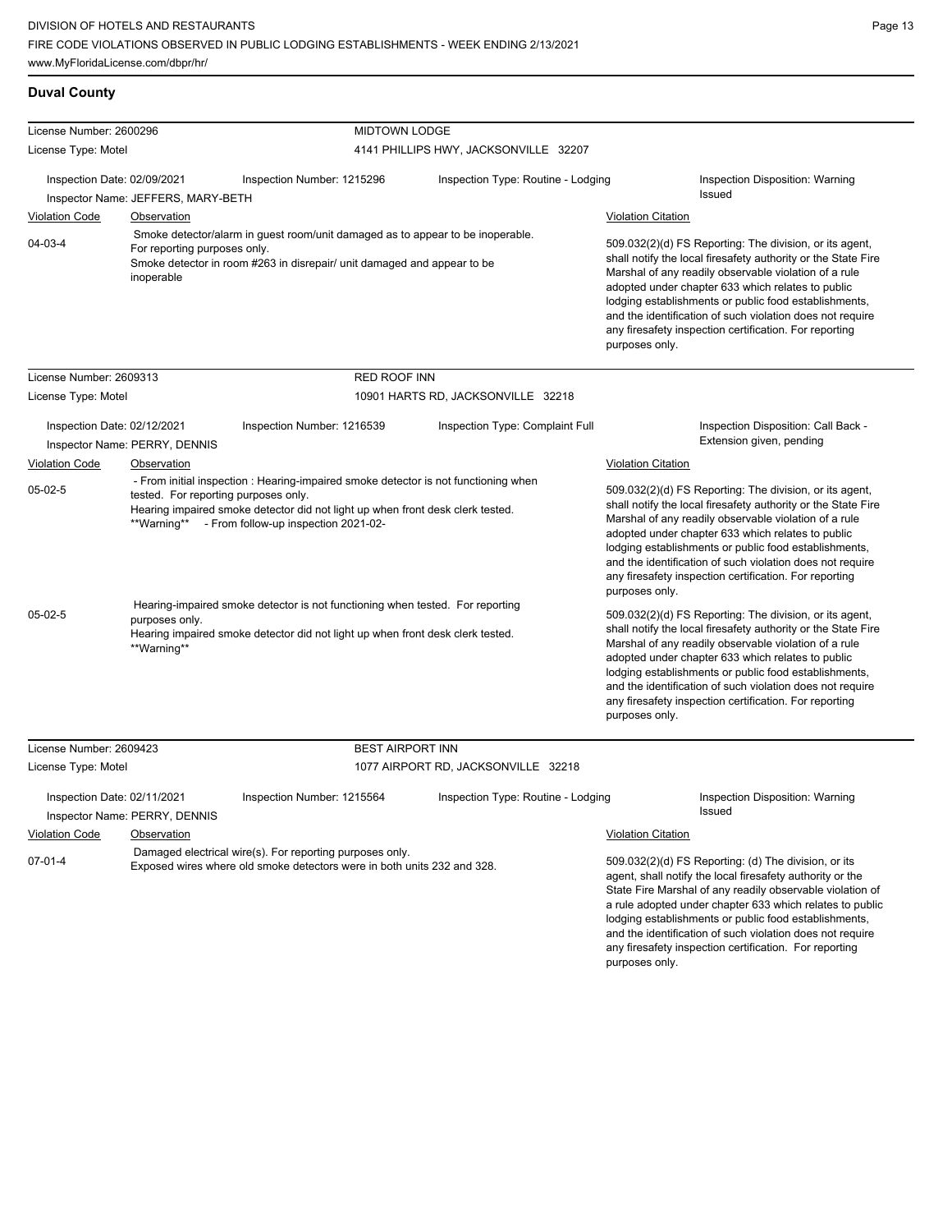#### **Duval County**

| License Number: 2600296                                                                                                                                                                                       |                                            | <b>MIDTOWN LODGE</b>                                                                                                                                                                                                                                              |                                                                                                                                                                                                                                                                                                                                                                                                                                          |                                                                                                                                                                                                                                                                                                                                                                                                                                          |
|---------------------------------------------------------------------------------------------------------------------------------------------------------------------------------------------------------------|--------------------------------------------|-------------------------------------------------------------------------------------------------------------------------------------------------------------------------------------------------------------------------------------------------------------------|------------------------------------------------------------------------------------------------------------------------------------------------------------------------------------------------------------------------------------------------------------------------------------------------------------------------------------------------------------------------------------------------------------------------------------------|------------------------------------------------------------------------------------------------------------------------------------------------------------------------------------------------------------------------------------------------------------------------------------------------------------------------------------------------------------------------------------------------------------------------------------------|
| License Type: Motel                                                                                                                                                                                           |                                            | 4141 PHILLIPS HWY, JACKSONVILLE 32207                                                                                                                                                                                                                             |                                                                                                                                                                                                                                                                                                                                                                                                                                          |                                                                                                                                                                                                                                                                                                                                                                                                                                          |
| Inspection Date: 02/09/2021<br>Inspector Name: JEFFERS, MARY-BETH                                                                                                                                             |                                            | Inspection Number: 1215296                                                                                                                                                                                                                                        | Inspection Type: Routine - Lodging                                                                                                                                                                                                                                                                                                                                                                                                       | Inspection Disposition: Warning<br>Issued                                                                                                                                                                                                                                                                                                                                                                                                |
| <b>Violation Code</b>                                                                                                                                                                                         | <b>Observation</b>                         |                                                                                                                                                                                                                                                                   |                                                                                                                                                                                                                                                                                                                                                                                                                                          | <b>Violation Citation</b>                                                                                                                                                                                                                                                                                                                                                                                                                |
| $04 - 03 - 4$                                                                                                                                                                                                 | For reporting purposes only.<br>inoperable | Smoke detector/alarm in guest room/unit damaged as to appear to be inoperable.<br>Smoke detector in room #263 in disrepair/ unit damaged and appear to be                                                                                                         |                                                                                                                                                                                                                                                                                                                                                                                                                                          | 509.032(2)(d) FS Reporting: The division, or its agent,<br>shall notify the local firesafety authority or the State Fire<br>Marshal of any readily observable violation of a rule<br>adopted under chapter 633 which relates to public<br>lodging establishments or public food establishments,<br>and the identification of such violation does not require<br>any firesafety inspection certification. For reporting<br>purposes only. |
| License Number: 2609313                                                                                                                                                                                       |                                            | <b>RED ROOF INN</b>                                                                                                                                                                                                                                               |                                                                                                                                                                                                                                                                                                                                                                                                                                          |                                                                                                                                                                                                                                                                                                                                                                                                                                          |
| License Type: Motel                                                                                                                                                                                           |                                            |                                                                                                                                                                                                                                                                   | 10901 HARTS RD, JACKSONVILLE 32218                                                                                                                                                                                                                                                                                                                                                                                                       |                                                                                                                                                                                                                                                                                                                                                                                                                                          |
| Inspection Date: 02/12/2021                                                                                                                                                                                   | Inspector Name: PERRY, DENNIS              | Inspection Number: 1216539                                                                                                                                                                                                                                        | Inspection Type: Complaint Full                                                                                                                                                                                                                                                                                                                                                                                                          | Inspection Disposition: Call Back -<br>Extension given, pending                                                                                                                                                                                                                                                                                                                                                                          |
| <b>Violation Code</b>                                                                                                                                                                                         | Observation                                |                                                                                                                                                                                                                                                                   |                                                                                                                                                                                                                                                                                                                                                                                                                                          | <b>Violation Citation</b>                                                                                                                                                                                                                                                                                                                                                                                                                |
| $05-02-5$                                                                                                                                                                                                     |                                            | - From initial inspection : Hearing-impaired smoke detector is not functioning when<br>tested. For reporting purposes only.<br>Hearing impaired smoke detector did not light up when front desk clerk tested.<br>**Warning** - From follow-up inspection 2021-02- |                                                                                                                                                                                                                                                                                                                                                                                                                                          | 509.032(2)(d) FS Reporting: The division, or its agent,<br>shall notify the local firesafety authority or the State Fire<br>Marshal of any readily observable violation of a rule<br>adopted under chapter 633 which relates to public<br>lodging establishments or public food establishments,<br>and the identification of such violation does not require<br>any firesafety inspection certification. For reporting<br>purposes only. |
| Hearing-impaired smoke detector is not functioning when tested. For reporting<br>$05-02-5$<br>purposes only.<br>Hearing impaired smoke detector did not light up when front desk clerk tested.<br>**Warning** |                                            |                                                                                                                                                                                                                                                                   | 509.032(2)(d) FS Reporting: The division, or its agent,<br>shall notify the local firesafety authority or the State Fire<br>Marshal of any readily observable violation of a rule<br>adopted under chapter 633 which relates to public<br>lodging establishments or public food establishments,<br>and the identification of such violation does not require<br>any firesafety inspection certification. For reporting<br>purposes only. |                                                                                                                                                                                                                                                                                                                                                                                                                                          |
| License Number: 2609423                                                                                                                                                                                       |                                            | <b>BEST AIRPORT INN</b>                                                                                                                                                                                                                                           |                                                                                                                                                                                                                                                                                                                                                                                                                                          |                                                                                                                                                                                                                                                                                                                                                                                                                                          |
| License Type: Motel                                                                                                                                                                                           |                                            |                                                                                                                                                                                                                                                                   | 1077 AIRPORT RD, JACKSONVILLE 32218                                                                                                                                                                                                                                                                                                                                                                                                      |                                                                                                                                                                                                                                                                                                                                                                                                                                          |
| Inspection Date: 02/11/2021                                                                                                                                                                                   | Inspector Name: PERRY, DENNIS              | Inspection Number: 1215564                                                                                                                                                                                                                                        | Inspection Type: Routine - Lodging                                                                                                                                                                                                                                                                                                                                                                                                       | Inspection Disposition: Warning<br>Issued                                                                                                                                                                                                                                                                                                                                                                                                |

Violation Code Observation Violation Citation

| $07-01-4$ | Damaged electrical wire(s). For reporting purposes only.                |
|-----------|-------------------------------------------------------------------------|
|           | Exposed wires where old smoke detectors were in both units 232 and 328. |

509.032(2)(d) FS Reporting: (d) The division, or its agent, shall notify the local firesafety authority or the State Fire Marshal of any readily observable violation of a rule adopted under chapter 633 which relates to public lodging establishments or public food establishments, and the identification of such violation does not require any firesafety inspection certification. For reporting purposes only.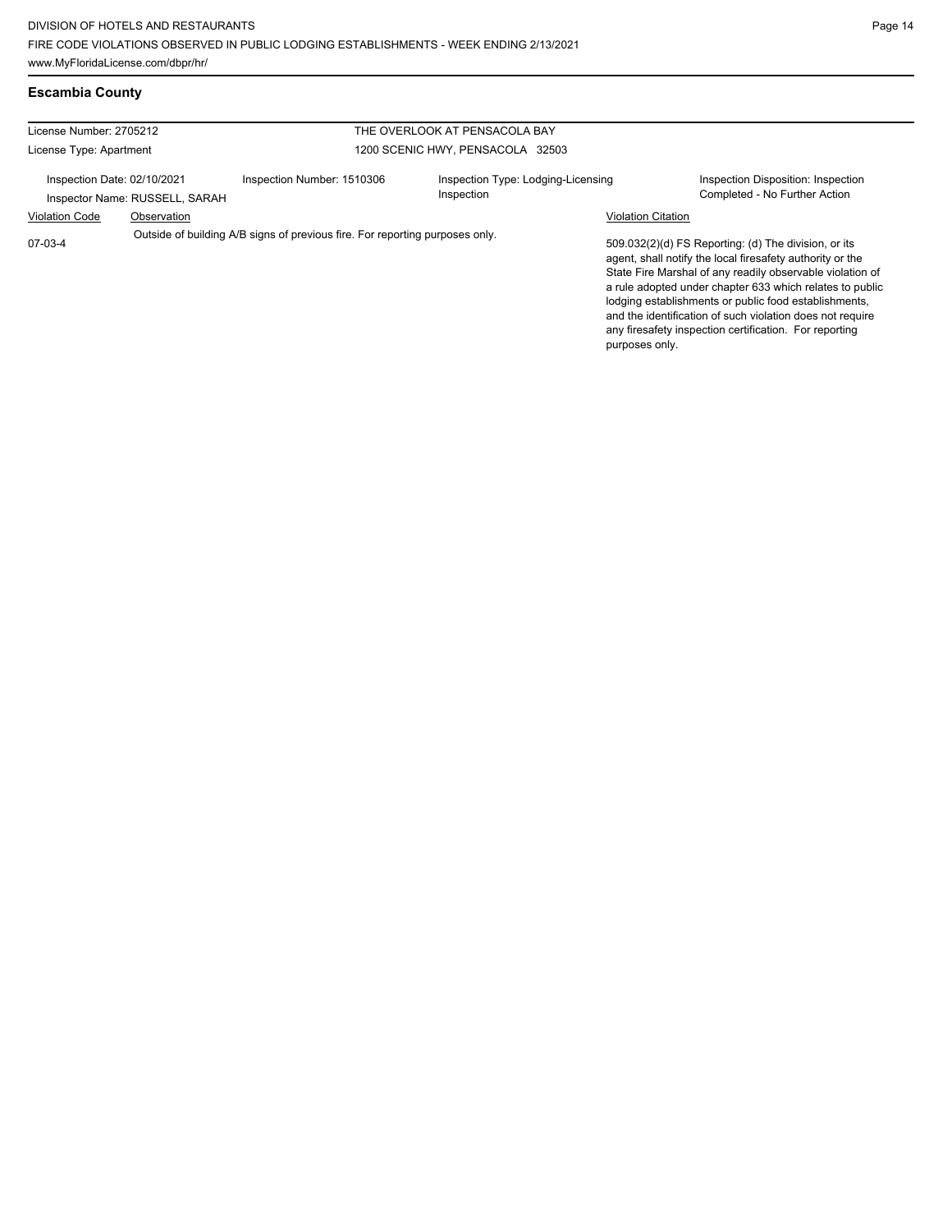## **Escambia County**

| License Number: 2705212                                                                   |             |                            | THE OVERLOOK AT PENSACOLA BAY                                                                                                                                                                                                                                                                                                                                                                                              |                                                                     |
|-------------------------------------------------------------------------------------------|-------------|----------------------------|----------------------------------------------------------------------------------------------------------------------------------------------------------------------------------------------------------------------------------------------------------------------------------------------------------------------------------------------------------------------------------------------------------------------------|---------------------------------------------------------------------|
|                                                                                           |             |                            |                                                                                                                                                                                                                                                                                                                                                                                                                            |                                                                     |
| License Type: Apartment                                                                   |             |                            | 1200 SCENIC HWY, PENSACOLA 32503                                                                                                                                                                                                                                                                                                                                                                                           |                                                                     |
| Inspection Date: 02/10/2021<br>Inspector Name: RUSSELL, SARAH                             |             | Inspection Number: 1510306 | Inspection Type: Lodging-Licensing<br>Inspection                                                                                                                                                                                                                                                                                                                                                                           | Inspection Disposition: Inspection<br>Completed - No Further Action |
| <b>Violation Code</b>                                                                     | Observation |                            |                                                                                                                                                                                                                                                                                                                                                                                                                            | <b>Violation Citation</b>                                           |
| Outside of building A/B signs of previous fire. For reporting purposes only.<br>$07-03-4$ |             |                            | 509.032(2)(d) FS Reporting: (d) The division, or its<br>agent, shall notify the local firesafety authority or the<br>State Fire Marshal of any readily observable violation of<br>a rule adopted under chapter 633 which relates to public<br>lodging establishments or public food establishments,<br>and the identification of such violation does not require<br>any firesafety inspection certification. For reporting |                                                                     |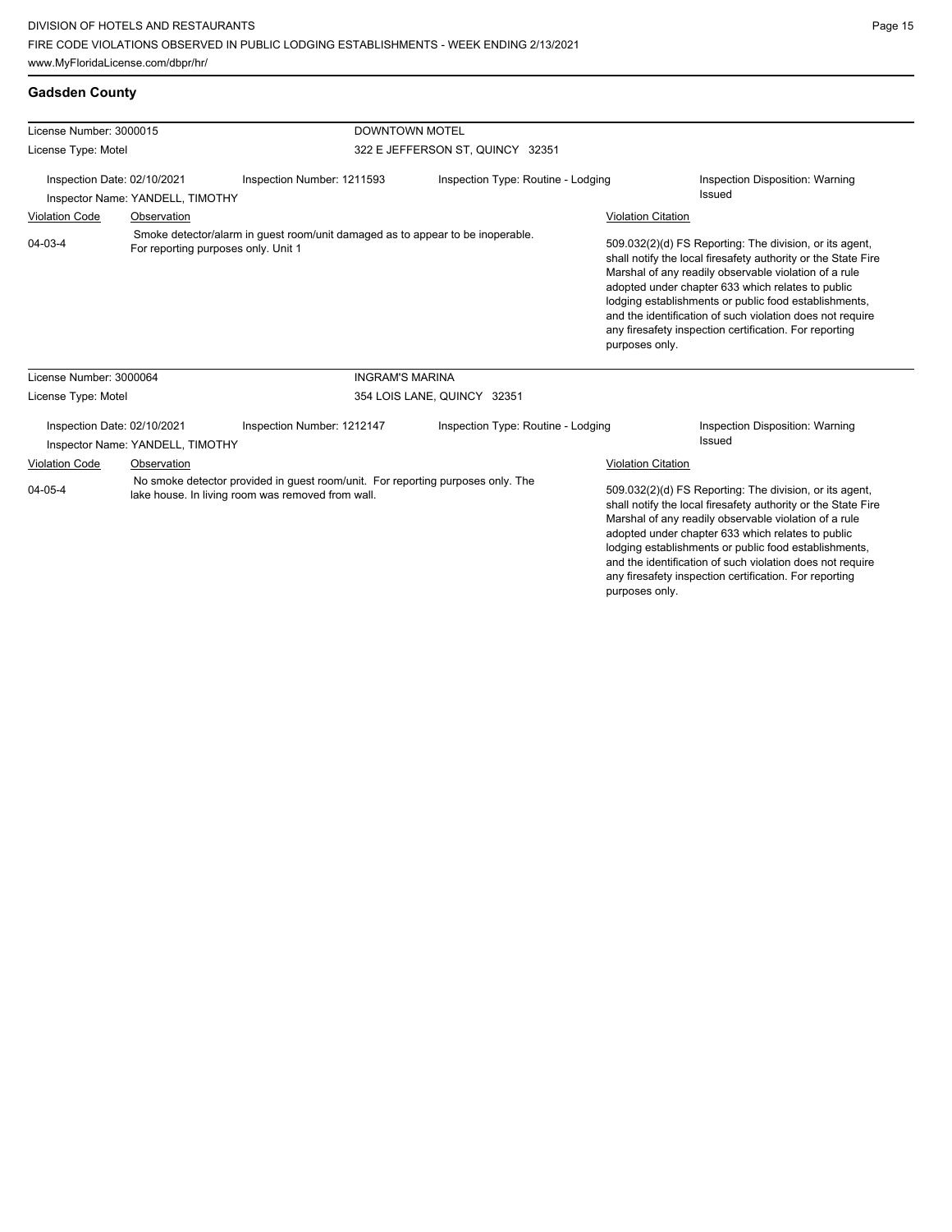| License Number: 3000015                                                                |                                  | <b>DOWNTOWN MOTEL</b>                                                                                                                |                                    |                                                                                                                                                                                                                                                                                                                                                                                                                                          |                                           |  |
|----------------------------------------------------------------------------------------|----------------------------------|--------------------------------------------------------------------------------------------------------------------------------------|------------------------------------|------------------------------------------------------------------------------------------------------------------------------------------------------------------------------------------------------------------------------------------------------------------------------------------------------------------------------------------------------------------------------------------------------------------------------------------|-------------------------------------------|--|
| License Type: Motel<br>Inspection Date: 02/10/2021<br>Inspector Name: YANDELL, TIMOTHY |                                  |                                                                                                                                      | 322 E JEFFERSON ST, QUINCY 32351   |                                                                                                                                                                                                                                                                                                                                                                                                                                          |                                           |  |
|                                                                                        |                                  | Inspection Number: 1211593                                                                                                           | Inspection Type: Routine - Lodging |                                                                                                                                                                                                                                                                                                                                                                                                                                          | Inspection Disposition: Warning<br>Issued |  |
| <b>Violation Code</b>                                                                  | Observation                      |                                                                                                                                      |                                    | <b>Violation Citation</b>                                                                                                                                                                                                                                                                                                                                                                                                                |                                           |  |
| 04-03-4                                                                                |                                  | Smoke detector/alarm in quest room/unit damaged as to appear to be inoperable.<br>For reporting purposes only. Unit 1                |                                    | 509.032(2)(d) FS Reporting: The division, or its agent,<br>shall notify the local firesafety authority or the State Fire<br>Marshal of any readily observable violation of a rule<br>adopted under chapter 633 which relates to public<br>lodging establishments or public food establishments,<br>and the identification of such violation does not require<br>any firesafety inspection certification. For reporting<br>purposes only. |                                           |  |
| License Number: 3000064                                                                |                                  | <b>INGRAM'S MARINA</b>                                                                                                               |                                    |                                                                                                                                                                                                                                                                                                                                                                                                                                          |                                           |  |
| License Type: Motel                                                                    |                                  |                                                                                                                                      | 354 LOIS LANE, QUINCY 32351        |                                                                                                                                                                                                                                                                                                                                                                                                                                          |                                           |  |
| Inspection Date: 02/10/2021                                                            | Inspector Name: YANDELL, TIMOTHY | Inspection Number: 1212147                                                                                                           | Inspection Type: Routine - Lodging |                                                                                                                                                                                                                                                                                                                                                                                                                                          | Inspection Disposition: Warning<br>Issued |  |
| <b>Violation Code</b>                                                                  | Observation                      |                                                                                                                                      |                                    | <b>Violation Citation</b>                                                                                                                                                                                                                                                                                                                                                                                                                |                                           |  |
| 04-05-4                                                                                |                                  | No smoke detector provided in guest room/unit. For reporting purposes only. The<br>lake house. In living room was removed from wall. |                                    | 509.032(2)(d) FS Reporting: The division, or its agent,<br>shall notify the local firesafety authority or the State Fire<br>Marshal of any readily observable violation of a rule<br>adopted under chapter 633 which relates to public<br>lodging establishments or public food establishments,<br>and the identification of such violation does not require<br>any firesafety inspection certification. For reporting                   |                                           |  |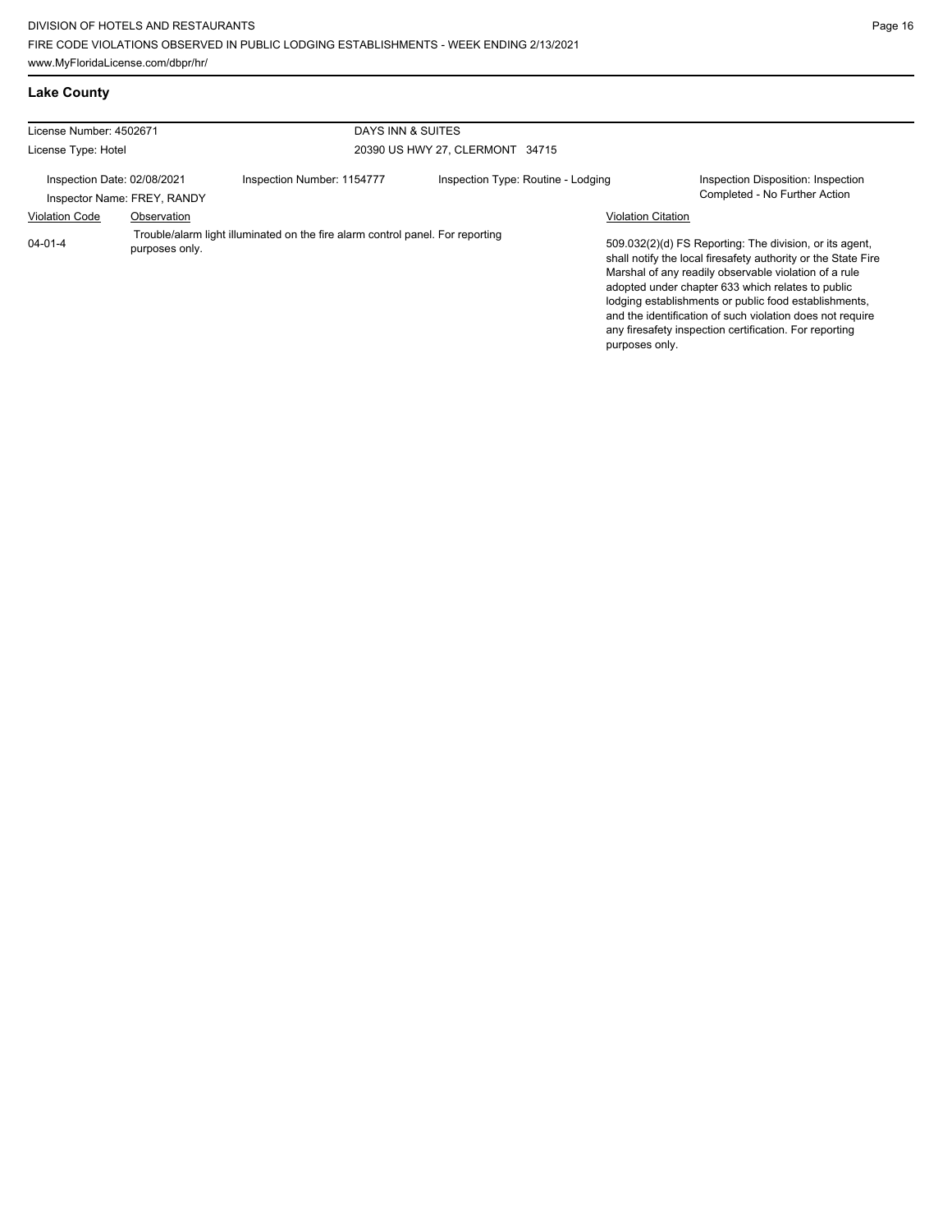**Lake County**

| License Number: 4502671                                    |                | DAYS INN & SUITES                                                              |                                    |                           |                                                                                                                                                                                                                                                                                                                                                                                                                        |
|------------------------------------------------------------|----------------|--------------------------------------------------------------------------------|------------------------------------|---------------------------|------------------------------------------------------------------------------------------------------------------------------------------------------------------------------------------------------------------------------------------------------------------------------------------------------------------------------------------------------------------------------------------------------------------------|
| License Type: Hotel                                        |                |                                                                                | 20390 US HWY 27, CLERMONT 34715    |                           |                                                                                                                                                                                                                                                                                                                                                                                                                        |
| Inspection Date: 02/08/2021<br>Inspector Name: FREY, RANDY |                | Inspection Number: 1154777                                                     | Inspection Type: Routine - Lodging |                           | Inspection Disposition: Inspection<br>Completed - No Further Action                                                                                                                                                                                                                                                                                                                                                    |
| <b>Violation Code</b>                                      | Observation    |                                                                                |                                    | <b>Violation Citation</b> |                                                                                                                                                                                                                                                                                                                                                                                                                        |
| 04-01-4                                                    | purposes only. | Trouble/alarm light illuminated on the fire alarm control panel. For reporting |                                    | purposes only.            | 509.032(2)(d) FS Reporting: The division, or its agent,<br>shall notify the local firesafety authority or the State Fire<br>Marshal of any readily observable violation of a rule<br>adopted under chapter 633 which relates to public<br>lodging establishments or public food establishments,<br>and the identification of such violation does not require<br>any firesafety inspection certification. For reporting |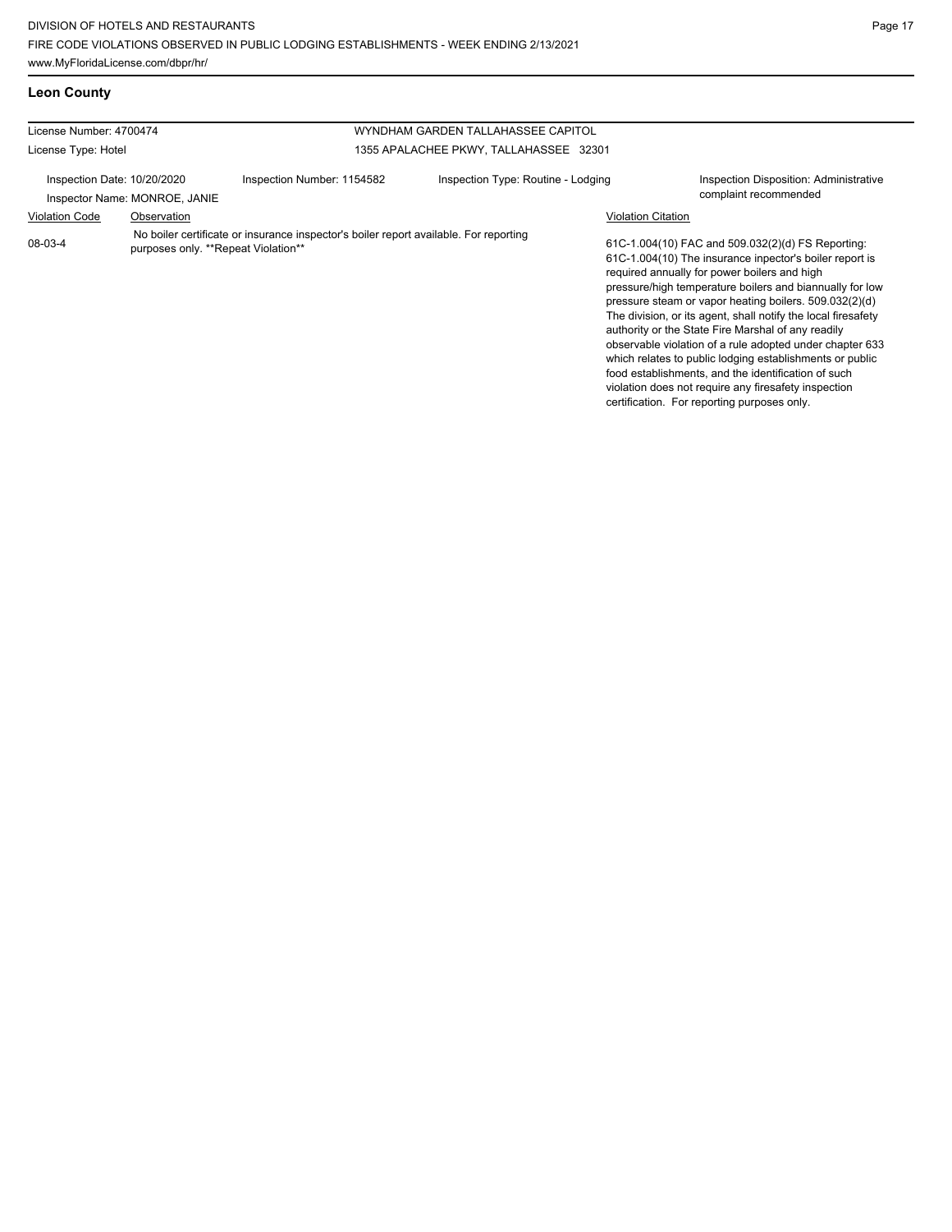**Leon County**

| License Number: 4700474                                      |                                                                                                                              | WYNDHAM GARDEN TALLAHASSEE CAPITOL          |                                                                                                                                                                                                                                                                                                                                                                                                                                                                                                                                                                                                                                                  |  |
|--------------------------------------------------------------|------------------------------------------------------------------------------------------------------------------------------|---------------------------------------------|--------------------------------------------------------------------------------------------------------------------------------------------------------------------------------------------------------------------------------------------------------------------------------------------------------------------------------------------------------------------------------------------------------------------------------------------------------------------------------------------------------------------------------------------------------------------------------------------------------------------------------------------------|--|
| License Type: Hotel                                          |                                                                                                                              | 1355 APALACHEE PKWY, TALLAHASSEE 32301      |                                                                                                                                                                                                                                                                                                                                                                                                                                                                                                                                                                                                                                                  |  |
| Inspection Date: 10/20/2020<br>Inspector Name: MONROE, JANIE | Inspection Number: 1154582                                                                                                   | Inspection Type: Routine - Lodging          | <b>Inspection Disposition: Administrative</b><br>complaint recommended                                                                                                                                                                                                                                                                                                                                                                                                                                                                                                                                                                           |  |
| <b>Violation Code</b>                                        | Observation                                                                                                                  | <b>Violation Citation</b>                   |                                                                                                                                                                                                                                                                                                                                                                                                                                                                                                                                                                                                                                                  |  |
| 08-03-4                                                      | No boiler certificate or insurance inspector's boiler report available. For reporting<br>purposes only. **Repeat Violation** | certification. For reporting purposes only. | 61C-1.004(10) FAC and 509.032(2)(d) FS Reporting:<br>61C-1.004(10) The insurance inpector's boiler report is<br>required annually for power boilers and high<br>pressure/high temperature boilers and biannually for low<br>pressure steam or vapor heating boilers. 509.032(2)(d)<br>The division, or its agent, shall notify the local firesafety<br>authority or the State Fire Marshal of any readily<br>observable violation of a rule adopted under chapter 633<br>which relates to public lodging establishments or public<br>food establishments, and the identification of such<br>violation does not require any firesafety inspection |  |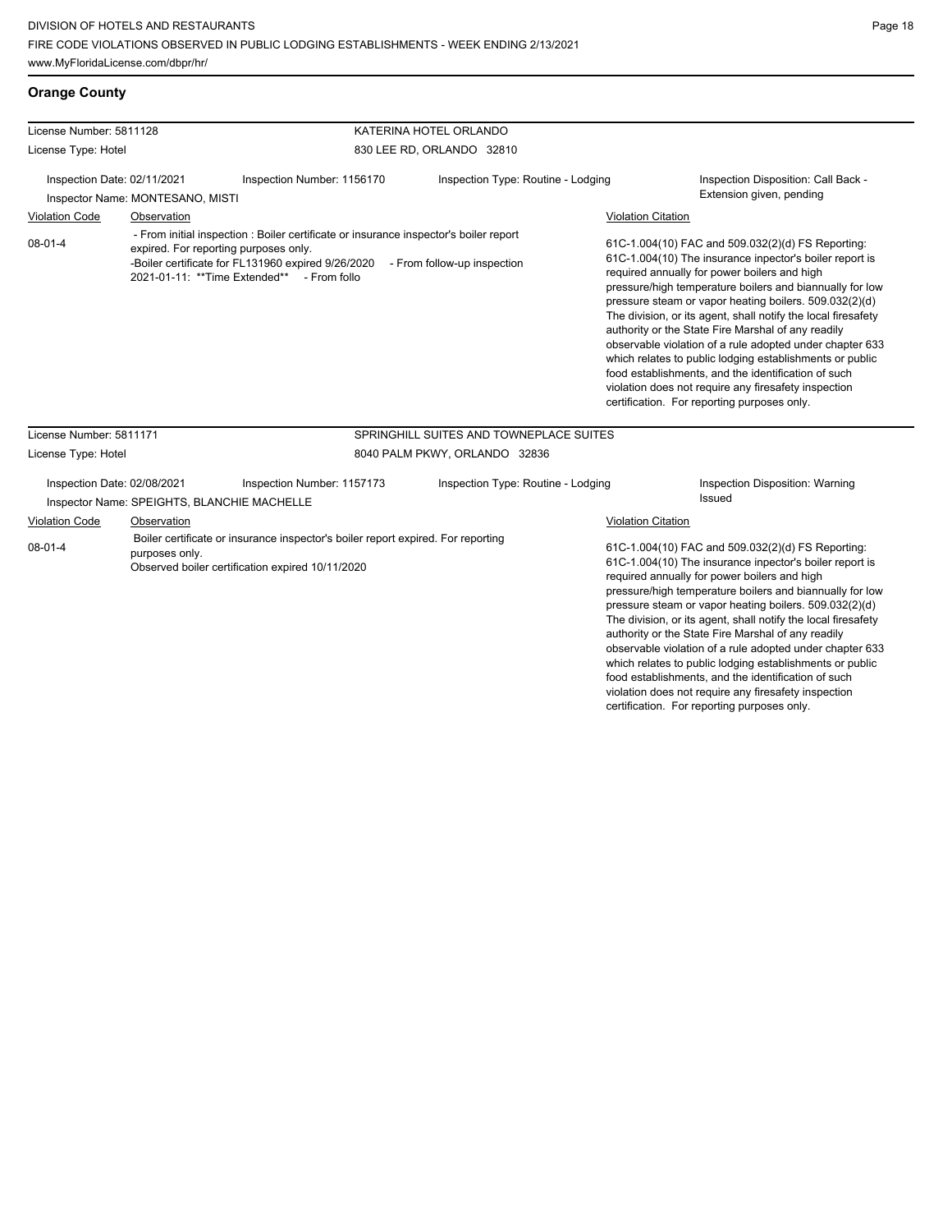## **Orange County**

| License Number: 5811128                                                                                 |                             |                                                                                                                                                                                                                                    | KATERINA HOTEL ORLANDO                  |                           |                                                                                                                                                                                                                                                                                                                                                                                                                                                                                                                                                                                                                                                                                                 |  |
|---------------------------------------------------------------------------------------------------------|-----------------------------|------------------------------------------------------------------------------------------------------------------------------------------------------------------------------------------------------------------------------------|-----------------------------------------|---------------------------|-------------------------------------------------------------------------------------------------------------------------------------------------------------------------------------------------------------------------------------------------------------------------------------------------------------------------------------------------------------------------------------------------------------------------------------------------------------------------------------------------------------------------------------------------------------------------------------------------------------------------------------------------------------------------------------------------|--|
| License Type: Hotel                                                                                     |                             |                                                                                                                                                                                                                                    | 830 LEE RD, ORLANDO 32810               |                           |                                                                                                                                                                                                                                                                                                                                                                                                                                                                                                                                                                                                                                                                                                 |  |
| Inspection Date: 02/11/2021<br>Inspector Name: MONTESANO, MISTI<br><b>Violation Code</b><br>Observation |                             | Inspection Number: 1156170                                                                                                                                                                                                         | Inspection Type: Routine - Lodging      |                           | Inspection Disposition: Call Back -<br>Extension given, pending<br><b>Violation Citation</b>                                                                                                                                                                                                                                                                                                                                                                                                                                                                                                                                                                                                    |  |
| $08 - 01 - 4$                                                                                           |                             | - From initial inspection : Boiler certificate or insurance inspector's boiler report<br>expired. For reporting purposes only.<br>-Boiler certificate for FL131960 expired 9/26/2020<br>2021-01-11: **Time Extended** - From follo | - From follow-up inspection             |                           | 61C-1.004(10) FAC and 509.032(2)(d) FS Reporting:<br>61C-1.004(10) The insurance inpector's boiler report is<br>required annually for power boilers and high<br>pressure/high temperature boilers and biannually for low<br>pressure steam or vapor heating boilers. 509.032(2)(d)<br>The division, or its agent, shall notify the local firesafety<br>authority or the State Fire Marshal of any readily<br>observable violation of a rule adopted under chapter 633<br>which relates to public lodging establishments or public<br>food establishments, and the identification of such<br>violation does not require any firesafety inspection<br>certification. For reporting purposes only. |  |
| License Number: 5811171                                                                                 |                             |                                                                                                                                                                                                                                    | SPRINGHILL SUITES AND TOWNEPLACE SUITES |                           |                                                                                                                                                                                                                                                                                                                                                                                                                                                                                                                                                                                                                                                                                                 |  |
| License Type: Hotel                                                                                     |                             |                                                                                                                                                                                                                                    | 8040 PALM PKWY, ORLANDO 32836           |                           |                                                                                                                                                                                                                                                                                                                                                                                                                                                                                                                                                                                                                                                                                                 |  |
|                                                                                                         | Inspection Date: 02/08/2021 | Inspection Number: 1157173<br>Inspector Name: SPEIGHTS, BLANCHIE MACHELLE                                                                                                                                                          | Inspection Type: Routine - Lodging      |                           | Inspection Disposition: Warning<br><b>Issued</b>                                                                                                                                                                                                                                                                                                                                                                                                                                                                                                                                                                                                                                                |  |
| Violation Code                                                                                          | Observation                 |                                                                                                                                                                                                                                    |                                         | <b>Violation Citation</b> |                                                                                                                                                                                                                                                                                                                                                                                                                                                                                                                                                                                                                                                                                                 |  |
| $08 - 01 - 4$                                                                                           | purposes only.              | Boiler certificate or insurance inspector's boiler report expired. For reporting<br>Observed boiler certification expired 10/11/2020                                                                                               |                                         |                           | 61C-1.004(10) FAC and 509.032(2)(d) FS Reporting:<br>61C-1.004(10) The insurance inpector's boiler report is<br>required annually for power boilers and high<br>pressure/high temperature boilers and biannually for low<br>pressure steam or vapor heating boilers. 509.032(2)(d)<br>The division, or its agent, shall notify the local firesafety<br>authority or the State Fire Marshal of any readily<br>observable violation of a rule adopted under chapter 633<br>which relates to public lodging establishments or public<br>food establishments, and the identification of such<br>violation does not require any firesafety inspection                                                |  |

certification. For reporting purposes only.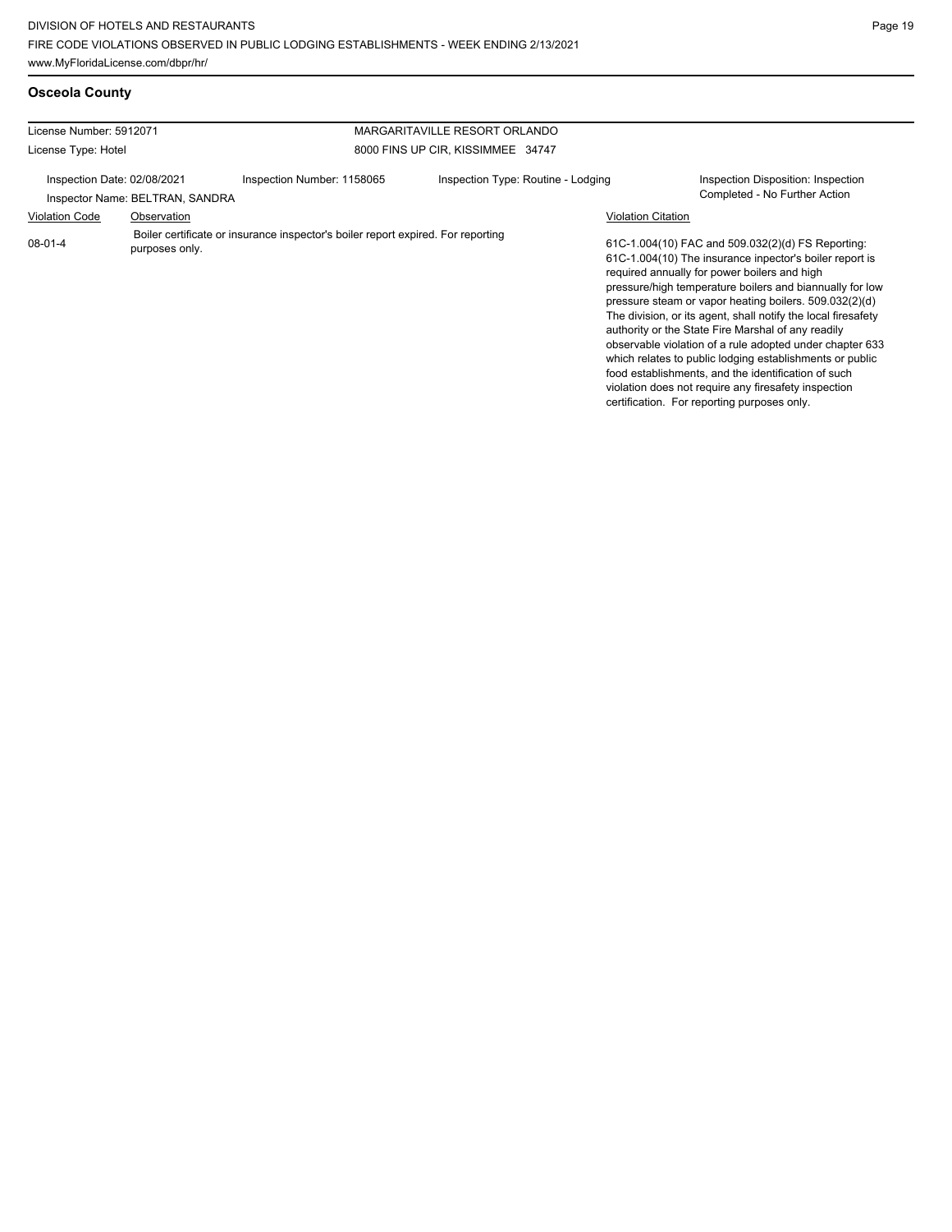**Osceola County**

| License Number: 5912071                                                                     |             |                                                                                  | MARGARITAVILLE RESORT ORLANDO      |                           |                                                                                                                                                                                                                                                                                                                                                                                                                                                                                                                                                                                                                                                                                                 |
|---------------------------------------------------------------------------------------------|-------------|----------------------------------------------------------------------------------|------------------------------------|---------------------------|-------------------------------------------------------------------------------------------------------------------------------------------------------------------------------------------------------------------------------------------------------------------------------------------------------------------------------------------------------------------------------------------------------------------------------------------------------------------------------------------------------------------------------------------------------------------------------------------------------------------------------------------------------------------------------------------------|
| License Type: Hotel                                                                         |             |                                                                                  | 8000 FINS UP CIR, KISSIMMEE 34747  |                           |                                                                                                                                                                                                                                                                                                                                                                                                                                                                                                                                                                                                                                                                                                 |
| Inspection Date: 02/08/2021                                                                 |             | Inspection Number: 1158065                                                       | Inspection Type: Routine - Lodging |                           | Inspection Disposition: Inspection<br>Completed - No Further Action                                                                                                                                                                                                                                                                                                                                                                                                                                                                                                                                                                                                                             |
|                                                                                             | Observation |                                                                                  |                                    | <b>Violation Citation</b> |                                                                                                                                                                                                                                                                                                                                                                                                                                                                                                                                                                                                                                                                                                 |
| Inspector Name: BELTRAN, SANDRA<br><b>Violation Code</b><br>$08 - 01 - 4$<br>purposes only. |             | Boiler certificate or insurance inspector's boiler report expired. For reporting |                                    |                           | 61C-1.004(10) FAC and 509.032(2)(d) FS Reporting:<br>61C-1.004(10) The insurance inpector's boiler report is<br>required annually for power boilers and high<br>pressure/high temperature boilers and biannually for low<br>pressure steam or vapor heating boilers. 509.032(2)(d)<br>The division, or its agent, shall notify the local firesafety<br>authority or the State Fire Marshal of any readily<br>observable violation of a rule adopted under chapter 633<br>which relates to public lodging establishments or public<br>food establishments, and the identification of such<br>violation does not require any firesafety inspection<br>certification. For reporting purposes only. |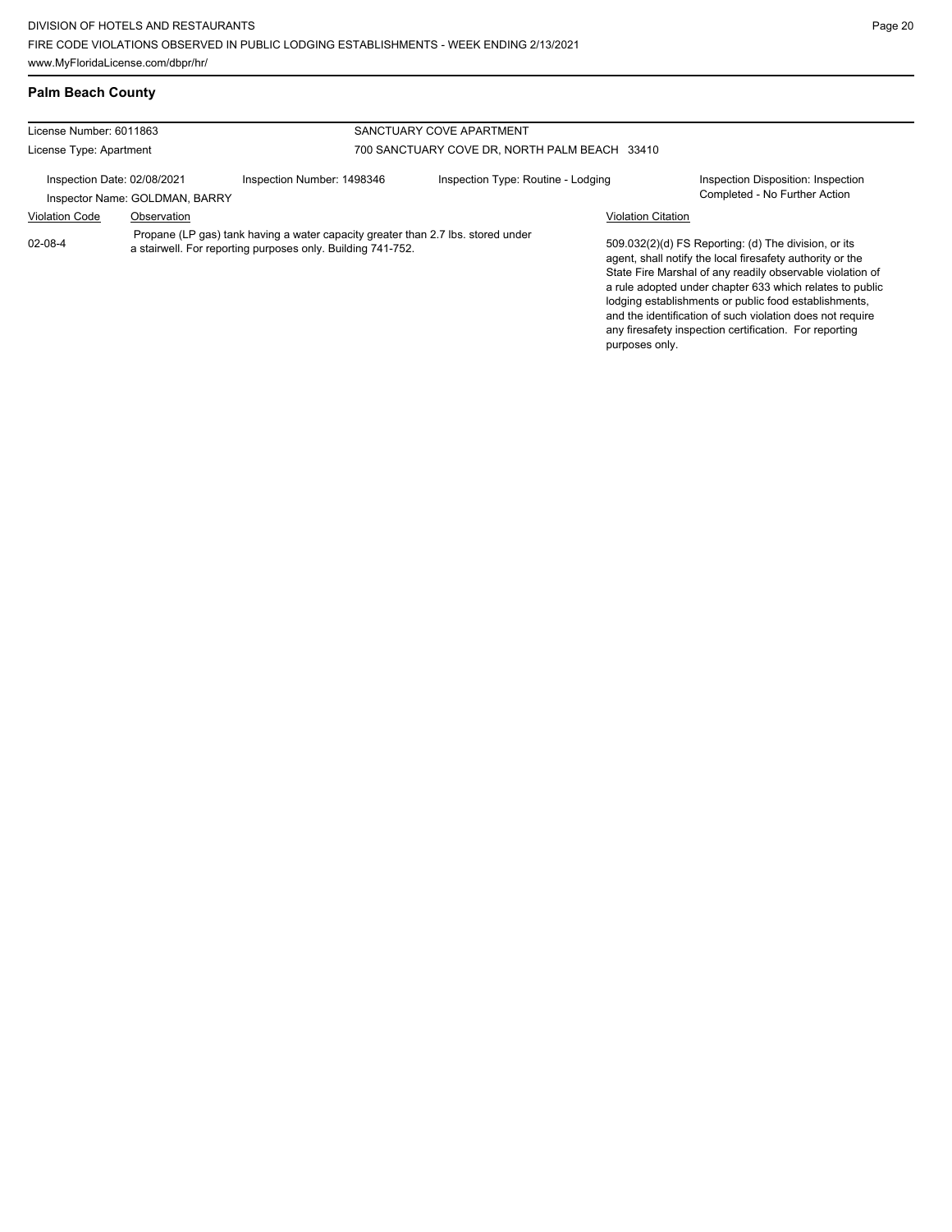# **Palm Beach County**

| License Number: 6011863                                                                                                                                          |                                |                                               | SANCTUARY COVE APARTMENT           |                                                                                                                                                                                                                                                                                                                                                                                                                            |                                                                     |
|------------------------------------------------------------------------------------------------------------------------------------------------------------------|--------------------------------|-----------------------------------------------|------------------------------------|----------------------------------------------------------------------------------------------------------------------------------------------------------------------------------------------------------------------------------------------------------------------------------------------------------------------------------------------------------------------------------------------------------------------------|---------------------------------------------------------------------|
| License Type: Apartment                                                                                                                                          |                                | 700 SANCTUARY COVE DR, NORTH PALM BEACH 33410 |                                    |                                                                                                                                                                                                                                                                                                                                                                                                                            |                                                                     |
| Inspection Date: 02/08/2021                                                                                                                                      | Inspector Name: GOLDMAN, BARRY | Inspection Number: 1498346                    | Inspection Type: Routine - Lodging |                                                                                                                                                                                                                                                                                                                                                                                                                            | Inspection Disposition: Inspection<br>Completed - No Further Action |
| <b>Violation Code</b>                                                                                                                                            | Observation                    |                                               |                                    | <b>Violation Citation</b>                                                                                                                                                                                                                                                                                                                                                                                                  |                                                                     |
| Propane (LP gas) tank having a water capacity greater than 2.7 lbs. stored under<br>$02 - 08 - 4$<br>a stairwell. For reporting purposes only. Building 741-752. |                                |                                               |                                    | 509.032(2)(d) FS Reporting: (d) The division, or its<br>agent, shall notify the local firesafety authority or the<br>State Fire Marshal of any readily observable violation of<br>a rule adopted under chapter 633 which relates to public<br>lodging establishments or public food establishments,<br>and the identification of such violation does not require<br>any firesafety inspection certification. For reporting |                                                                     |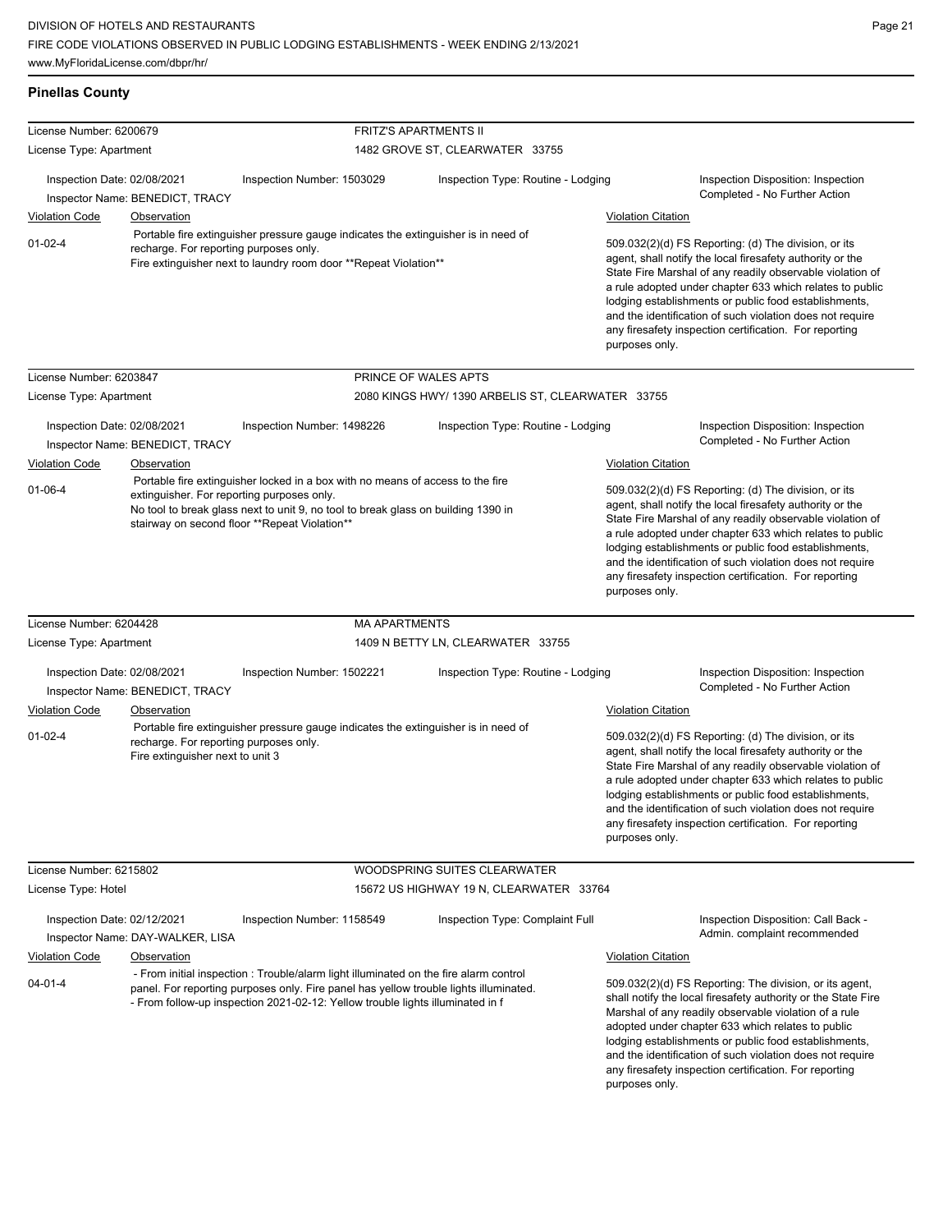| <b>Pinellas County</b>                                                                          |                                                                            |                                                                                                                                                                                                                      |                                                                                                                                                                                |                                                                                                                                                                                                                                                                                                                                                                                                                                              |                                                                                                                                                                                                                                                                                                                                                                                                                                              |  |
|-------------------------------------------------------------------------------------------------|----------------------------------------------------------------------------|----------------------------------------------------------------------------------------------------------------------------------------------------------------------------------------------------------------------|--------------------------------------------------------------------------------------------------------------------------------------------------------------------------------|----------------------------------------------------------------------------------------------------------------------------------------------------------------------------------------------------------------------------------------------------------------------------------------------------------------------------------------------------------------------------------------------------------------------------------------------|----------------------------------------------------------------------------------------------------------------------------------------------------------------------------------------------------------------------------------------------------------------------------------------------------------------------------------------------------------------------------------------------------------------------------------------------|--|
| License Number: 6200679                                                                         |                                                                            |                                                                                                                                                                                                                      | FRITZ'S APARTMENTS II                                                                                                                                                          |                                                                                                                                                                                                                                                                                                                                                                                                                                              |                                                                                                                                                                                                                                                                                                                                                                                                                                              |  |
| License Type: Apartment                                                                         |                                                                            |                                                                                                                                                                                                                      | 1482 GROVE ST, CLEARWATER 33755                                                                                                                                                |                                                                                                                                                                                                                                                                                                                                                                                                                                              |                                                                                                                                                                                                                                                                                                                                                                                                                                              |  |
| Inspection Date: 02/08/2021                                                                     | Inspector Name: BENEDICT, TRACY                                            | Inspection Number: 1503029                                                                                                                                                                                           | Inspection Type: Routine - Lodging                                                                                                                                             |                                                                                                                                                                                                                                                                                                                                                                                                                                              | Inspection Disposition: Inspection<br>Completed - No Further Action                                                                                                                                                                                                                                                                                                                                                                          |  |
| <b>Violation Code</b>                                                                           | <b>Observation</b>                                                         |                                                                                                                                                                                                                      |                                                                                                                                                                                | <b>Violation Citation</b>                                                                                                                                                                                                                                                                                                                                                                                                                    |                                                                                                                                                                                                                                                                                                                                                                                                                                              |  |
| $01 - 02 - 4$                                                                                   |                                                                            | Portable fire extinguisher pressure gauge indicates the extinguisher is in need of<br>recharge. For reporting purposes only.<br>Fire extinguisher next to laundry room door **Repeat Violation**                     |                                                                                                                                                                                | 509.032(2)(d) FS Reporting: (d) The division, or its<br>agent, shall notify the local firesafety authority or the<br>State Fire Marshal of any readily observable violation of<br>a rule adopted under chapter 633 which relates to public<br>lodging establishments or public food establishments,<br>and the identification of such violation does not require<br>any firesafety inspection certification. For reporting<br>purposes only. |                                                                                                                                                                                                                                                                                                                                                                                                                                              |  |
| License Number: 6203847                                                                         |                                                                            |                                                                                                                                                                                                                      | PRINCE OF WALES APTS                                                                                                                                                           |                                                                                                                                                                                                                                                                                                                                                                                                                                              |                                                                                                                                                                                                                                                                                                                                                                                                                                              |  |
| License Type: Apartment                                                                         |                                                                            |                                                                                                                                                                                                                      | 2080 KINGS HWY/ 1390 ARBELIS ST, CLEARWATER 33755                                                                                                                              |                                                                                                                                                                                                                                                                                                                                                                                                                                              |                                                                                                                                                                                                                                                                                                                                                                                                                                              |  |
| Inspection Date: 02/08/2021                                                                     | Inspector Name: BENEDICT, TRACY                                            | Inspection Number: 1498226                                                                                                                                                                                           | Inspection Type: Routine - Lodging                                                                                                                                             |                                                                                                                                                                                                                                                                                                                                                                                                                                              | Inspection Disposition: Inspection<br>Completed - No Further Action                                                                                                                                                                                                                                                                                                                                                                          |  |
| <b>Violation Code</b>                                                                           | Observation                                                                |                                                                                                                                                                                                                      |                                                                                                                                                                                | <b>Violation Citation</b>                                                                                                                                                                                                                                                                                                                                                                                                                    |                                                                                                                                                                                                                                                                                                                                                                                                                                              |  |
| $01 - 06 - 4$                                                                                   | extinguisher. For reporting purposes only.                                 | Portable fire extinguisher locked in a box with no means of access to the fire<br>No tool to break glass next to unit 9, no tool to break glass on building 1390 in<br>stairway on second floor **Repeat Violation** |                                                                                                                                                                                |                                                                                                                                                                                                                                                                                                                                                                                                                                              | 509.032(2)(d) FS Reporting: (d) The division, or its<br>agent, shall notify the local firesafety authority or the<br>State Fire Marshal of any readily observable violation of<br>a rule adopted under chapter 633 which relates to public<br>lodging establishments or public food establishments,<br>and the identification of such violation does not require<br>any firesafety inspection certification. For reporting<br>purposes only. |  |
| License Number: 6204428                                                                         |                                                                            | <b>MA APARTMENTS</b>                                                                                                                                                                                                 |                                                                                                                                                                                |                                                                                                                                                                                                                                                                                                                                                                                                                                              |                                                                                                                                                                                                                                                                                                                                                                                                                                              |  |
| License Type: Apartment                                                                         |                                                                            |                                                                                                                                                                                                                      | 1409 N BETTY LN, CLEARWATER 33755                                                                                                                                              |                                                                                                                                                                                                                                                                                                                                                                                                                                              |                                                                                                                                                                                                                                                                                                                                                                                                                                              |  |
| Inspection Date: 02/08/2021                                                                     | Inspector Name: BENEDICT, TRACY                                            | Inspection Number: 1502221                                                                                                                                                                                           | Inspection Type: Routine - Lodging                                                                                                                                             |                                                                                                                                                                                                                                                                                                                                                                                                                                              | Inspection Disposition: Inspection<br>Completed - No Further Action                                                                                                                                                                                                                                                                                                                                                                          |  |
| <b>Violation Code</b>                                                                           | Observation                                                                |                                                                                                                                                                                                                      |                                                                                                                                                                                |                                                                                                                                                                                                                                                                                                                                                                                                                                              | <b>Violation Citation</b>                                                                                                                                                                                                                                                                                                                                                                                                                    |  |
| $01 - 02 - 4$                                                                                   | recharge. For reporting purposes only.<br>Fire extinguisher next to unit 3 | Portable fire extinguisher pressure gauge indicates the extinguisher is in need of                                                                                                                                   |                                                                                                                                                                                | 509.032(2)(d) FS Reporting: (d) The division, or its<br>agent, shall notify the local firesafety authority or the<br>State Fire Marshal of any readily observable violation of<br>a rule adopted under chapter 633 which relates to public<br>lodging establishments or public food establishments,<br>and the identification of such violation does not require<br>any firesafety inspection certification. For reporting<br>purposes only. |                                                                                                                                                                                                                                                                                                                                                                                                                                              |  |
| License Number: 6215802                                                                         |                                                                            |                                                                                                                                                                                                                      | WOODSPRING SUITES CLEARWATER                                                                                                                                                   |                                                                                                                                                                                                                                                                                                                                                                                                                                              |                                                                                                                                                                                                                                                                                                                                                                                                                                              |  |
| License Type: Hotel                                                                             |                                                                            |                                                                                                                                                                                                                      | 15672 US HIGHWAY 19 N, CLEARWATER 33764                                                                                                                                        |                                                                                                                                                                                                                                                                                                                                                                                                                                              |                                                                                                                                                                                                                                                                                                                                                                                                                                              |  |
| Inspection Date: 02/12/2021                                                                     | Inspector Name: DAY-WALKER, LISA                                           | Inspection Number: 1158549                                                                                                                                                                                           | Inspection Type: Complaint Full                                                                                                                                                |                                                                                                                                                                                                                                                                                                                                                                                                                                              | Inspection Disposition: Call Back -<br>Admin. complaint recommended                                                                                                                                                                                                                                                                                                                                                                          |  |
| <b>Violation Code</b>                                                                           | Observation                                                                |                                                                                                                                                                                                                      |                                                                                                                                                                                | <b>Violation Citation</b>                                                                                                                                                                                                                                                                                                                                                                                                                    |                                                                                                                                                                                                                                                                                                                                                                                                                                              |  |
| $04 - 01 - 4$<br>- From follow-up inspection 2021-02-12: Yellow trouble lights illuminated in f |                                                                            |                                                                                                                                                                                                                      | - From initial inspection : Trouble/alarm light illuminated on the fire alarm control<br>panel. For reporting purposes only. Fire panel has yellow trouble lights illuminated. |                                                                                                                                                                                                                                                                                                                                                                                                                                              | 509.032(2)(d) FS Reporting: The division, or its agent,<br>shall notify the local firesafety authority or the State Fire<br>Marshal of any readily observable violation of a rule<br>adopted under chapter 633 which relates to public<br>lodging establishments or public food establishments,<br>and the identification of such violation does not require                                                                                 |  |

any firesafety inspection certification. For reporting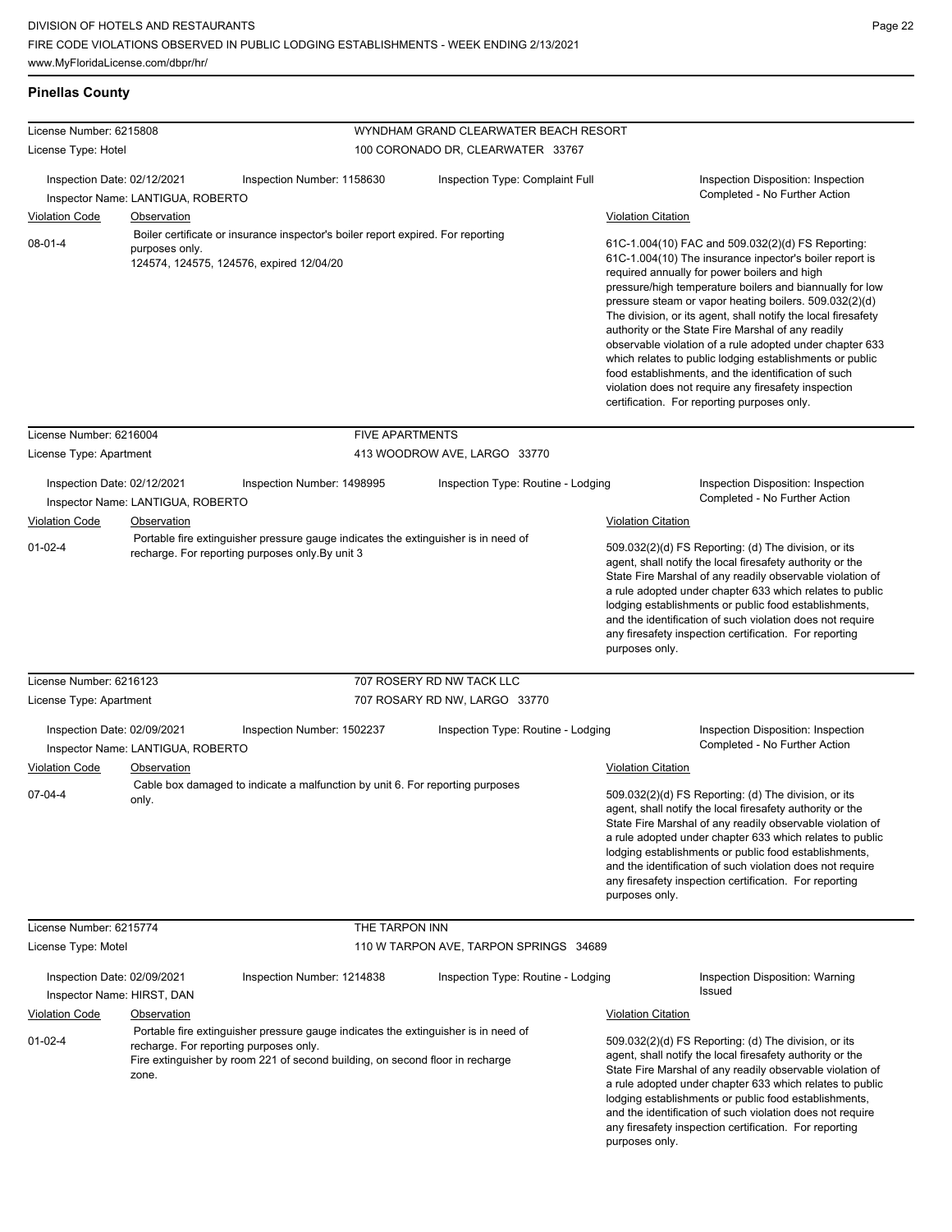**Pinellas County**

| License Number: 6215808                                                                                                    |                                                                                                                                                                                                                        |                                                                                                                                        | WYNDHAM GRAND CLEARWATER BEACH RESORT                                                                                                                                                                                                                                                                                                                                                                                      |                                                                                                                                                                                                                                                                                                                                                                                                                                                                                                                                                                                                                                                                                                                              |  |  |
|----------------------------------------------------------------------------------------------------------------------------|------------------------------------------------------------------------------------------------------------------------------------------------------------------------------------------------------------------------|----------------------------------------------------------------------------------------------------------------------------------------|----------------------------------------------------------------------------------------------------------------------------------------------------------------------------------------------------------------------------------------------------------------------------------------------------------------------------------------------------------------------------------------------------------------------------|------------------------------------------------------------------------------------------------------------------------------------------------------------------------------------------------------------------------------------------------------------------------------------------------------------------------------------------------------------------------------------------------------------------------------------------------------------------------------------------------------------------------------------------------------------------------------------------------------------------------------------------------------------------------------------------------------------------------------|--|--|
| License Type: Hotel                                                                                                        |                                                                                                                                                                                                                        | 100 CORONADO DR, CLEARWATER 33767                                                                                                      |                                                                                                                                                                                                                                                                                                                                                                                                                            |                                                                                                                                                                                                                                                                                                                                                                                                                                                                                                                                                                                                                                                                                                                              |  |  |
| Inspection Date: 02/12/2021                                                                                                | Inspector Name: LANTIGUA, ROBERTO                                                                                                                                                                                      | Inspection Number: 1158630                                                                                                             | Inspection Type: Complaint Full                                                                                                                                                                                                                                                                                                                                                                                            | Inspection Disposition: Inspection<br>Completed - No Further Action                                                                                                                                                                                                                                                                                                                                                                                                                                                                                                                                                                                                                                                          |  |  |
|                                                                                                                            |                                                                                                                                                                                                                        |                                                                                                                                        |                                                                                                                                                                                                                                                                                                                                                                                                                            |                                                                                                                                                                                                                                                                                                                                                                                                                                                                                                                                                                                                                                                                                                                              |  |  |
| <b>Violation Code</b><br><b>Observation</b><br>$08 - 01 - 4$<br>purposes only.<br>124574, 124575, 124576, expired 12/04/20 |                                                                                                                                                                                                                        | Boiler certificate or insurance inspector's boiler report expired. For reporting                                                       |                                                                                                                                                                                                                                                                                                                                                                                                                            | <b>Violation Citation</b><br>61C-1.004(10) FAC and 509.032(2)(d) FS Reporting:<br>61C-1.004(10) The insurance inpector's boiler report is<br>required annually for power boilers and high<br>pressure/high temperature boilers and biannually for low<br>pressure steam or vapor heating boilers. 509.032(2)(d)<br>The division, or its agent, shall notify the local firesafety<br>authority or the State Fire Marshal of any readily<br>observable violation of a rule adopted under chapter 633<br>which relates to public lodging establishments or public<br>food establishments, and the identification of such<br>violation does not require any firesafety inspection<br>certification. For reporting purposes only. |  |  |
| License Number: 6216004                                                                                                    |                                                                                                                                                                                                                        | <b>FIVE APARTMENTS</b>                                                                                                                 |                                                                                                                                                                                                                                                                                                                                                                                                                            |                                                                                                                                                                                                                                                                                                                                                                                                                                                                                                                                                                                                                                                                                                                              |  |  |
| License Type: Apartment                                                                                                    |                                                                                                                                                                                                                        |                                                                                                                                        | 413 WOODROW AVE, LARGO 33770                                                                                                                                                                                                                                                                                                                                                                                               |                                                                                                                                                                                                                                                                                                                                                                                                                                                                                                                                                                                                                                                                                                                              |  |  |
| Inspection Date: 02/12/2021<br><b>Violation Code</b>                                                                       | Inspector Name: LANTIGUA, ROBERTO<br>Observation                                                                                                                                                                       | Inspection Number: 1498995                                                                                                             | Inspection Type: Routine - Lodging                                                                                                                                                                                                                                                                                                                                                                                         | Inspection Disposition: Inspection<br>Completed - No Further Action<br><b>Violation Citation</b>                                                                                                                                                                                                                                                                                                                                                                                                                                                                                                                                                                                                                             |  |  |
| $01 - 02 - 4$                                                                                                              |                                                                                                                                                                                                                        | Portable fire extinguisher pressure gauge indicates the extinguisher is in need of<br>recharge. For reporting purposes only. By unit 3 |                                                                                                                                                                                                                                                                                                                                                                                                                            | 509.032(2)(d) FS Reporting: (d) The division, or its<br>agent, shall notify the local firesafety authority or the<br>State Fire Marshal of any readily observable violation of<br>a rule adopted under chapter 633 which relates to public<br>lodging establishments or public food establishments,<br>and the identification of such violation does not require<br>any firesafety inspection certification. For reporting<br>purposes only.                                                                                                                                                                                                                                                                                 |  |  |
| License Number: 6216123                                                                                                    |                                                                                                                                                                                                                        |                                                                                                                                        | 707 ROSERY RD NW TACK LLC                                                                                                                                                                                                                                                                                                                                                                                                  |                                                                                                                                                                                                                                                                                                                                                                                                                                                                                                                                                                                                                                                                                                                              |  |  |
| License Type: Apartment                                                                                                    |                                                                                                                                                                                                                        |                                                                                                                                        | 707 ROSARY RD NW, LARGO 33770                                                                                                                                                                                                                                                                                                                                                                                              |                                                                                                                                                                                                                                                                                                                                                                                                                                                                                                                                                                                                                                                                                                                              |  |  |
| Inspection Date: 02/09/2021                                                                                                | Inspector Name: LANTIGUA, ROBERTO                                                                                                                                                                                      | Inspection Number: 1502237                                                                                                             | Inspection Type: Routine - Lodging                                                                                                                                                                                                                                                                                                                                                                                         | Inspection Disposition: Inspection<br>Completed - No Further Action                                                                                                                                                                                                                                                                                                                                                                                                                                                                                                                                                                                                                                                          |  |  |
| <b>Violation Code</b>                                                                                                      | <u>Observation</u>                                                                                                                                                                                                     |                                                                                                                                        |                                                                                                                                                                                                                                                                                                                                                                                                                            | <b>Violation Citation</b>                                                                                                                                                                                                                                                                                                                                                                                                                                                                                                                                                                                                                                                                                                    |  |  |
| $07 - 04 - 4$                                                                                                              | only.                                                                                                                                                                                                                  | Cable box damaged to indicate a malfunction by unit 6. For reporting purposes                                                          |                                                                                                                                                                                                                                                                                                                                                                                                                            | 509.032(2)(d) FS Reporting: (d) The division, or its<br>agent, shall notify the local firesafety authority or the<br>State Fire Marshal of any readily observable violation of<br>a rule adopted under chapter 633 which relates to public<br>lodging establishments or public food establishments,<br>and the identification of such violation does not require<br>any firesafety inspection certification. For reporting<br>purposes only.                                                                                                                                                                                                                                                                                 |  |  |
| License Number: 6215774                                                                                                    |                                                                                                                                                                                                                        | THE TARPON INN                                                                                                                         |                                                                                                                                                                                                                                                                                                                                                                                                                            |                                                                                                                                                                                                                                                                                                                                                                                                                                                                                                                                                                                                                                                                                                                              |  |  |
| License Type: Motel                                                                                                        |                                                                                                                                                                                                                        |                                                                                                                                        | 110 W TARPON AVE, TARPON SPRINGS 34689                                                                                                                                                                                                                                                                                                                                                                                     |                                                                                                                                                                                                                                                                                                                                                                                                                                                                                                                                                                                                                                                                                                                              |  |  |
| Inspection Date: 02/09/2021<br>Inspector Name: HIRST, DAN                                                                  |                                                                                                                                                                                                                        | Inspection Number: 1214838                                                                                                             | Inspection Type: Routine - Lodging                                                                                                                                                                                                                                                                                                                                                                                         | Inspection Disposition: Warning<br>Issued                                                                                                                                                                                                                                                                                                                                                                                                                                                                                                                                                                                                                                                                                    |  |  |
| <b>Violation Code</b>                                                                                                      | Observation                                                                                                                                                                                                            | <b>Violation Citation</b>                                                                                                              |                                                                                                                                                                                                                                                                                                                                                                                                                            |                                                                                                                                                                                                                                                                                                                                                                                                                                                                                                                                                                                                                                                                                                                              |  |  |
| $01 - 02 - 4$                                                                                                              | Portable fire extinguisher pressure gauge indicates the extinguisher is in need of<br>recharge. For reporting purposes only.<br>Fire extinguisher by room 221 of second building, on second floor in recharge<br>zone. |                                                                                                                                        | 509.032(2)(d) FS Reporting: (d) The division, or its<br>agent, shall notify the local firesafety authority or the<br>State Fire Marshal of any readily observable violation of<br>a rule adopted under chapter 633 which relates to public<br>lodging establishments or public food establishments,<br>and the identification of such violation does not require<br>any firesafety inspection certification. For reporting |                                                                                                                                                                                                                                                                                                                                                                                                                                                                                                                                                                                                                                                                                                                              |  |  |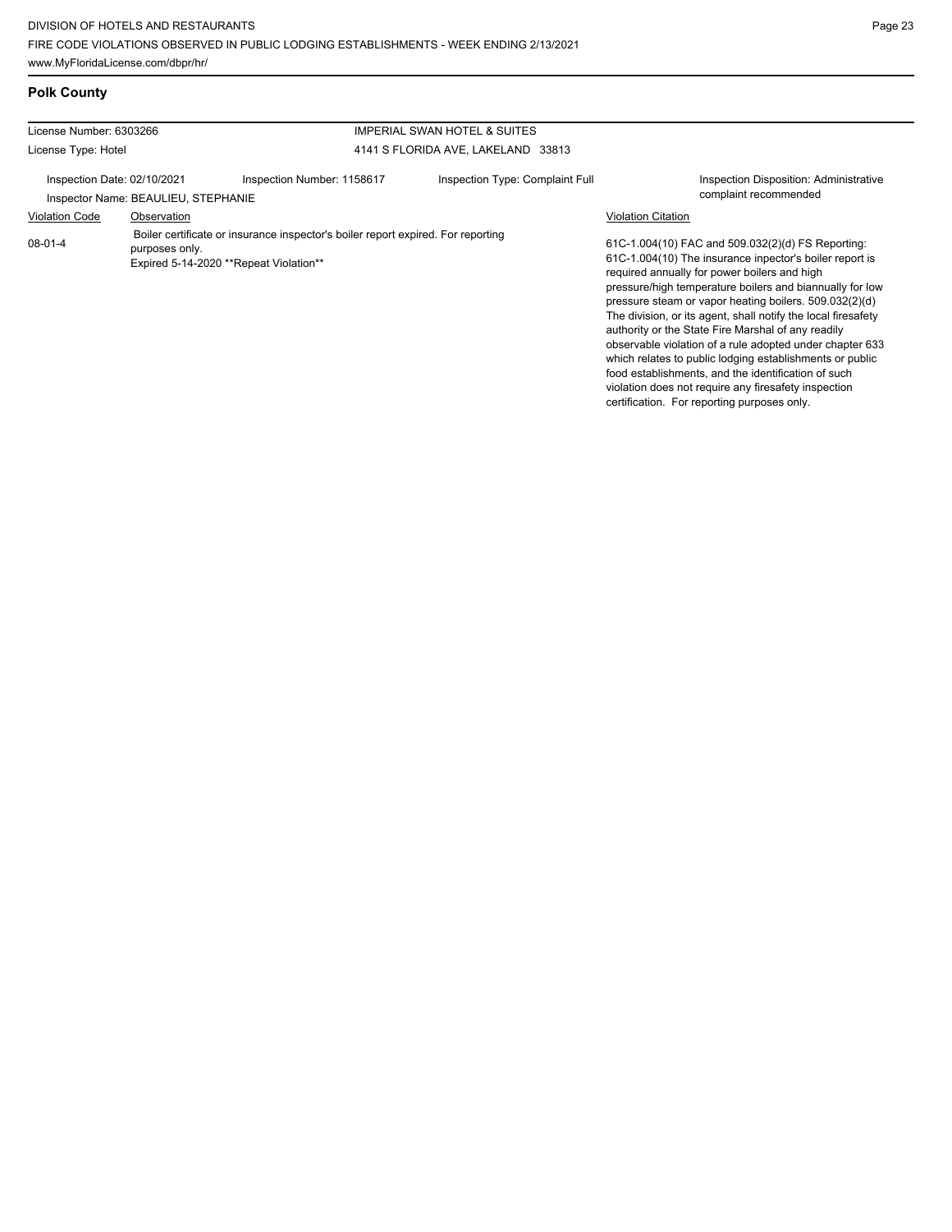certification. For reporting purposes only.

## **Polk County**

| License Number: 6303266     |                                                                                                                                              | IMPERIAL SWAN HOTEL & SUITES       |                                 |                                                                                                                                                                                                                                                                                                                                                                                                                                                                                                                                                                                                                                                  |  |
|-----------------------------|----------------------------------------------------------------------------------------------------------------------------------------------|------------------------------------|---------------------------------|--------------------------------------------------------------------------------------------------------------------------------------------------------------------------------------------------------------------------------------------------------------------------------------------------------------------------------------------------------------------------------------------------------------------------------------------------------------------------------------------------------------------------------------------------------------------------------------------------------------------------------------------------|--|
| License Type: Hotel         |                                                                                                                                              | 4141 S FLORIDA AVE, LAKELAND 33813 |                                 |                                                                                                                                                                                                                                                                                                                                                                                                                                                                                                                                                                                                                                                  |  |
| Inspection Date: 02/10/2021 | Inspector Name: BEAULIEU, STEPHANIE                                                                                                          | Inspection Number: 1158617         | Inspection Type: Complaint Full | <b>Inspection Disposition: Administrative</b><br>complaint recommended                                                                                                                                                                                                                                                                                                                                                                                                                                                                                                                                                                           |  |
| <b>Violation Code</b>       | Observation                                                                                                                                  |                                    |                                 | <b>Violation Citation</b>                                                                                                                                                                                                                                                                                                                                                                                                                                                                                                                                                                                                                        |  |
| $08-01-4$                   | Boiler certificate or insurance inspector's boiler report expired. For reporting<br>purposes only.<br>Expired 5-14-2020 **Repeat Violation** |                                    |                                 | 61C-1.004(10) FAC and 509.032(2)(d) FS Reporting:<br>61C-1.004(10) The insurance inpector's boiler report is<br>required annually for power boilers and high<br>pressure/high temperature boilers and biannually for low<br>pressure steam or vapor heating boilers. 509.032(2)(d)<br>The division, or its agent, shall notify the local firesafety<br>authority or the State Fire Marshal of any readily<br>observable violation of a rule adopted under chapter 633<br>which relates to public lodging establishments or public<br>food establishments, and the identification of such<br>violation does not require any firesafety inspection |  |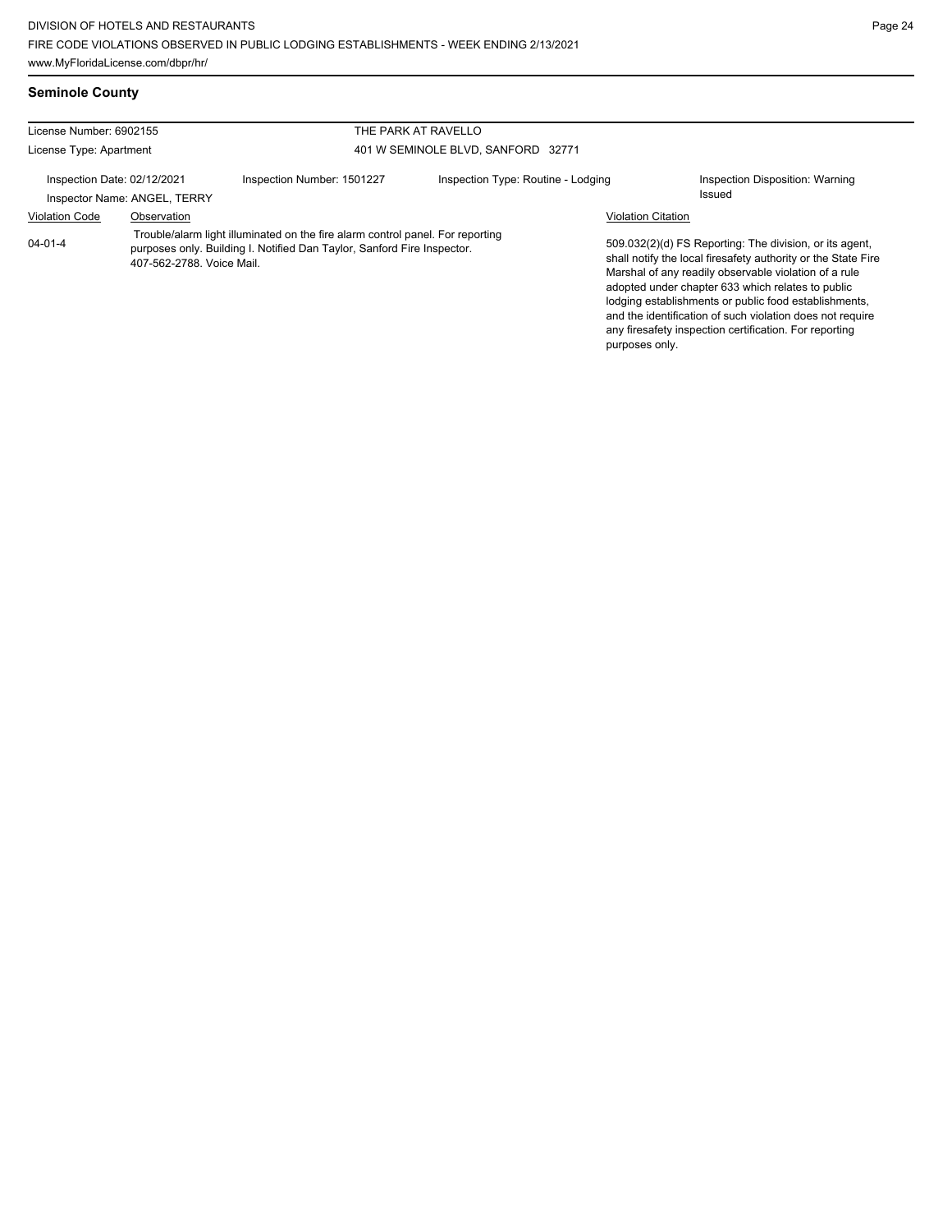**Seminole County**

| License Number: 6902155                                     |                                                                                                                                                                                        |                                    | THE PARK AT RAVELLO                |                           |                                                                                                                                                                                                                                                                                                                                                                                                                        |
|-------------------------------------------------------------|----------------------------------------------------------------------------------------------------------------------------------------------------------------------------------------|------------------------------------|------------------------------------|---------------------------|------------------------------------------------------------------------------------------------------------------------------------------------------------------------------------------------------------------------------------------------------------------------------------------------------------------------------------------------------------------------------------------------------------------------|
| License Type: Apartment                                     |                                                                                                                                                                                        | 401 W SEMINOLE BLVD, SANFORD 32771 |                                    |                           |                                                                                                                                                                                                                                                                                                                                                                                                                        |
| Inspection Date: 02/12/2021<br>Inspector Name: ANGEL, TERRY |                                                                                                                                                                                        | Inspection Number: 1501227         | Inspection Type: Routine - Lodging |                           | Inspection Disposition: Warning<br>Issued                                                                                                                                                                                                                                                                                                                                                                              |
| <b>Violation Code</b>                                       | Observation                                                                                                                                                                            |                                    |                                    | <b>Violation Citation</b> |                                                                                                                                                                                                                                                                                                                                                                                                                        |
| $04 - 01 - 4$                                               | Trouble/alarm light illuminated on the fire alarm control panel. For reporting<br>purposes only. Building I. Notified Dan Taylor, Sanford Fire Inspector.<br>407-562-2788. Voice Mail. |                                    |                                    | purposes only.            | 509.032(2)(d) FS Reporting: The division, or its agent,<br>shall notify the local firesafety authority or the State Fire<br>Marshal of any readily observable violation of a rule<br>adopted under chapter 633 which relates to public<br>lodging establishments or public food establishments,<br>and the identification of such violation does not require<br>any firesafety inspection certification. For reporting |